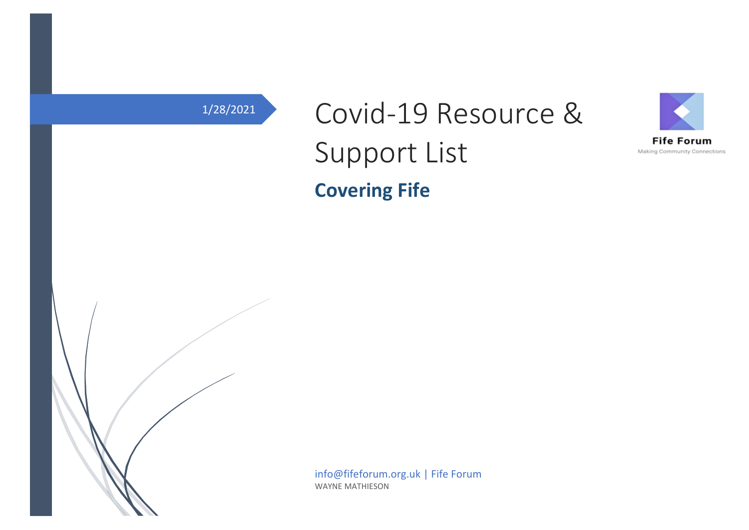# 1/28/2021 Covid-19 Resource & Support List **Covering Fife**





info@fifeforum.org.uk | Fife Forum WAYNE MATHIESON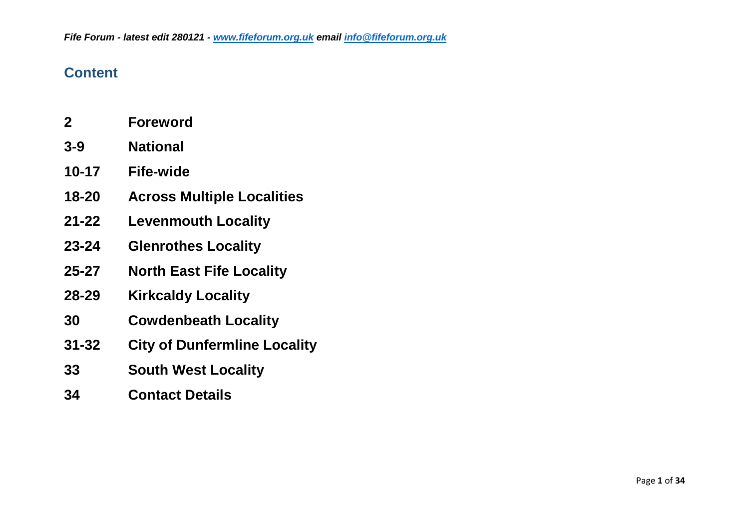#### **Content**

- **2 Foreword**
- **3-9 National**
- **10-17 Fife-wide**
- **18-20 Across Multiple Localities**
- **21-22 Levenmouth Locality**
- **23-24 Glenrothes Locality**
- **25-27 North East Fife Locality**
- **28-29 Kirkcaldy Locality**
- **30 Cowdenbeath Locality**
- **31-32 City of Dunfermline Locality**
- **33 South West Locality**
- **34 Contact Details**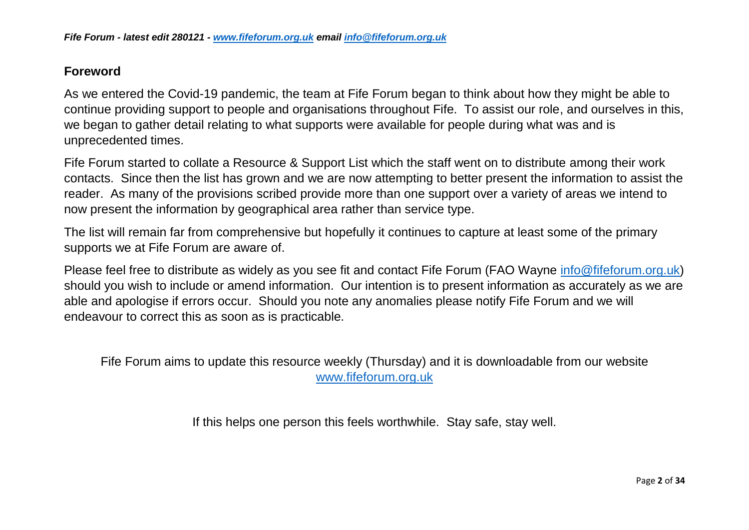#### **Foreword**

As we entered the Covid-19 pandemic, the team at Fife Forum began to think about how they might be able to continue providing support to people and organisations throughout Fife. To assist our role, and ourselves in this, we began to gather detail relating to what supports were available for people during what was and is unprecedented times.

Fife Forum started to collate a Resource & Support List which the staff went on to distribute among their work contacts. Since then the list has grown and we are now attempting to better present the information to assist the reader. As many of the provisions scribed provide more than one support over a variety of areas we intend to now present the information by geographical area rather than service type.

The list will remain far from comprehensive but hopefully it continues to capture at least some of the primary supports we at Fife Forum are aware of.

Please feel free to distribute as widely as you see fit and contact Fife Forum (FAO Wayne [info@fifeforum.org.uk\)](mailto:info@fifefourm.org.uk) should you wish to include or amend information. Our intention is to present information as accurately as we are able and apologise if errors occur. Should you note any anomalies please notify Fife Forum and we will endeavour to correct this as soon as is practicable.

Fife Forum aims to update this resource weekly (Thursday) and it is downloadable from our website [www.fifeforum.org.uk](http://www.fifeforum.org.uk/)

If this helps one person this feels worthwhile. Stay safe, stay well.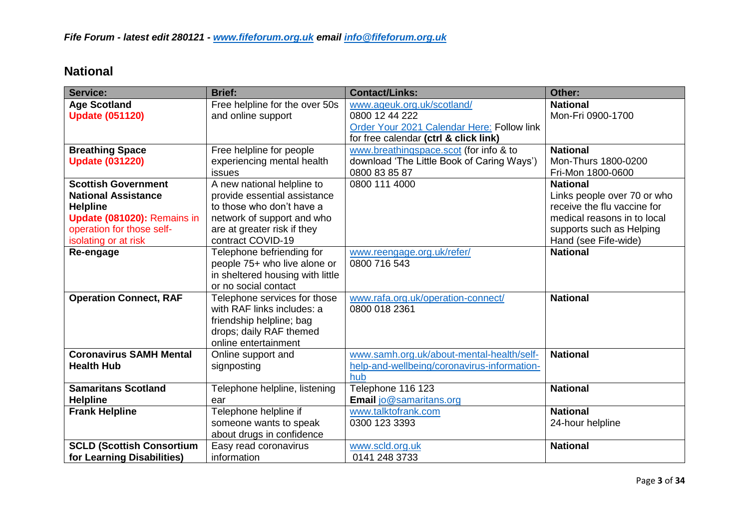#### **National**

| <b>Service:</b>                  | <b>Brief:</b>                    | <b>Contact/Links:</b>                       | Other:                      |
|----------------------------------|----------------------------------|---------------------------------------------|-----------------------------|
| <b>Age Scotland</b>              | Free helpline for the over 50s   | www.ageuk.org.uk/scotland/                  | <b>National</b>             |
| <b>Update (051120)</b>           | and online support               | 0800 12 44 222                              | Mon-Fri 0900-1700           |
|                                  |                                  | Order Your 2021 Calendar Here: Follow link  |                             |
|                                  |                                  | for free calendar (ctrl & click link)       |                             |
| <b>Breathing Space</b>           | Free helpline for people         | www.breathingspace.scot (for info & to      | <b>National</b>             |
| <b>Update (031220)</b>           | experiencing mental health       | download 'The Little Book of Caring Ways')  | Mon-Thurs 1800-0200         |
|                                  | <b>issues</b>                    | 0800 83 85 87                               | Fri-Mon 1800-0600           |
| <b>Scottish Government</b>       | A new national helpline to       | 0800 111 4000                               | <b>National</b>             |
| <b>National Assistance</b>       | provide essential assistance     |                                             | Links people over 70 or who |
| <b>Helpline</b>                  | to those who don't have a        |                                             | receive the flu vaccine for |
| Update (081020): Remains in      | network of support and who       |                                             | medical reasons in to local |
| operation for those self-        | are at greater risk if they      |                                             | supports such as Helping    |
| isolating or at risk             | contract COVID-19                |                                             | Hand (see Fife-wide)        |
| Re-engage                        | Telephone befriending for        | www.reengage.org.uk/refer/                  | <b>National</b>             |
|                                  | people 75+ who live alone or     | 0800 716 543                                |                             |
|                                  | in sheltered housing with little |                                             |                             |
|                                  | or no social contact             |                                             |                             |
| <b>Operation Connect, RAF</b>    | Telephone services for those     | www.rafa.org.uk/operation-connect/          | <b>National</b>             |
|                                  | with RAF links includes: a       | 0800 018 2361                               |                             |
|                                  | friendship helpline; bag         |                                             |                             |
|                                  | drops; daily RAF themed          |                                             |                             |
|                                  | online entertainment             |                                             |                             |
| <b>Coronavirus SAMH Mental</b>   | Online support and               | www.samh.org.uk/about-mental-health/self-   | <b>National</b>             |
| <b>Health Hub</b>                | signposting                      | help-and-wellbeing/coronavirus-information- |                             |
|                                  |                                  | hub                                         |                             |
| <b>Samaritans Scotland</b>       | Telephone helpline, listening    | Telephone 116 123                           | <b>National</b>             |
| <b>Helpline</b>                  | ear                              | Email jo@samaritans.org                     |                             |
| <b>Frank Helpline</b>            | Telephone helpline if            | www.talktofrank.com                         | <b>National</b>             |
|                                  | someone wants to speak           | 0300 123 3393                               | 24-hour helpline            |
|                                  | about drugs in confidence        |                                             |                             |
| <b>SCLD (Scottish Consortium</b> | Easy read coronavirus            | www.scld.org.uk                             | <b>National</b>             |
| for Learning Disabilities)       | information                      | 0141 248 3733                               |                             |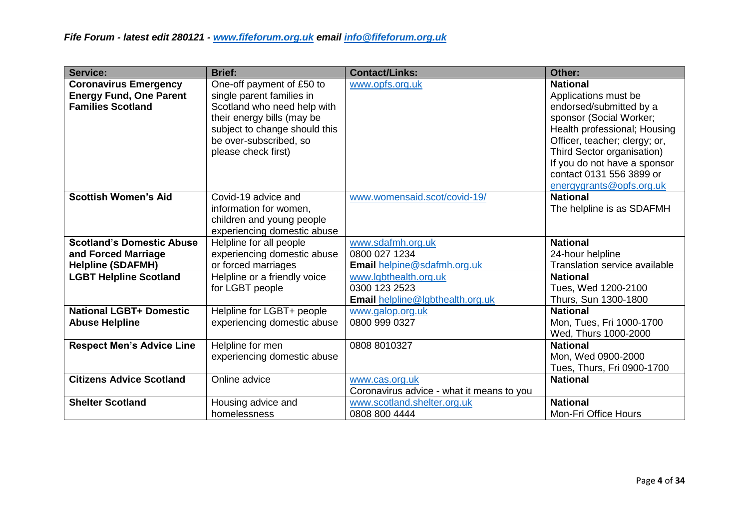| <b>Service:</b>                                                                            | <b>Brief:</b>                                                                                                                                                                                         | <b>Contact/Links:</b>                                                             | Other:                                                                                                                                                                                                                       |
|--------------------------------------------------------------------------------------------|-------------------------------------------------------------------------------------------------------------------------------------------------------------------------------------------------------|-----------------------------------------------------------------------------------|------------------------------------------------------------------------------------------------------------------------------------------------------------------------------------------------------------------------------|
| <b>Coronavirus Emergency</b><br><b>Energy Fund, One Parent</b><br><b>Families Scotland</b> | One-off payment of £50 to<br>single parent families in<br>Scotland who need help with<br>their energy bills (may be<br>subject to change should this<br>be over-subscribed, so<br>please check first) | www.opfs.org.uk                                                                   | <b>National</b><br>Applications must be<br>endorsed/submitted by a<br>sponsor (Social Worker;<br>Health professional; Housing<br>Officer, teacher; clergy; or,<br>Third Sector organisation)<br>If you do not have a sponsor |
|                                                                                            |                                                                                                                                                                                                       |                                                                                   | contact 0131 556 3899 or<br>energygrants@opfs.org.uk                                                                                                                                                                         |
| <b>Scottish Women's Aid</b>                                                                | Covid-19 advice and<br>information for women,<br>children and young people<br>experiencing domestic abuse                                                                                             | www.womensaid.scot/covid-19/                                                      | <b>National</b><br>The helpline is as SDAFMH                                                                                                                                                                                 |
| <b>Scotland's Domestic Abuse</b><br>and Forced Marriage<br><b>Helpline (SDAFMH)</b>        | Helpline for all people<br>experiencing domestic abuse<br>or forced marriages                                                                                                                         | www.sdafmh.org.uk<br>0800 027 1234<br><b>Email helpine@sdafmh.org.uk</b>          | <b>National</b><br>24-hour helpline<br>Translation service available                                                                                                                                                         |
| <b>LGBT Helpline Scotland</b>                                                              | Helpline or a friendly voice<br>for LGBT people                                                                                                                                                       | www.lgbthealth.org.uk<br>0300 123 2523<br><b>Email helpline@lgbthealth.org.uk</b> | <b>National</b><br>Tues, Wed 1200-2100<br>Thurs, Sun 1300-1800                                                                                                                                                               |
| <b>National LGBT+ Domestic</b><br><b>Abuse Helpline</b>                                    | Helpline for LGBT+ people<br>experiencing domestic abuse                                                                                                                                              | www.galop.org.uk<br>0800 999 0327                                                 | <b>National</b><br>Mon, Tues, Fri 1000-1700<br>Wed, Thurs 1000-2000                                                                                                                                                          |
| <b>Respect Men's Advice Line</b>                                                           | Helpline for men<br>experiencing domestic abuse                                                                                                                                                       | 0808 8010327                                                                      | <b>National</b><br>Mon, Wed 0900-2000<br>Tues, Thurs, Fri 0900-1700                                                                                                                                                          |
| <b>Citizens Advice Scotland</b>                                                            | Online advice                                                                                                                                                                                         | www.cas.org.uk<br>Coronavirus advice - what it means to you                       | <b>National</b>                                                                                                                                                                                                              |
| <b>Shelter Scotland</b>                                                                    | Housing advice and<br>homelessness                                                                                                                                                                    | www.scotland.shelter.org.uk<br>0808 800 4444                                      | <b>National</b><br><b>Mon-Fri Office Hours</b>                                                                                                                                                                               |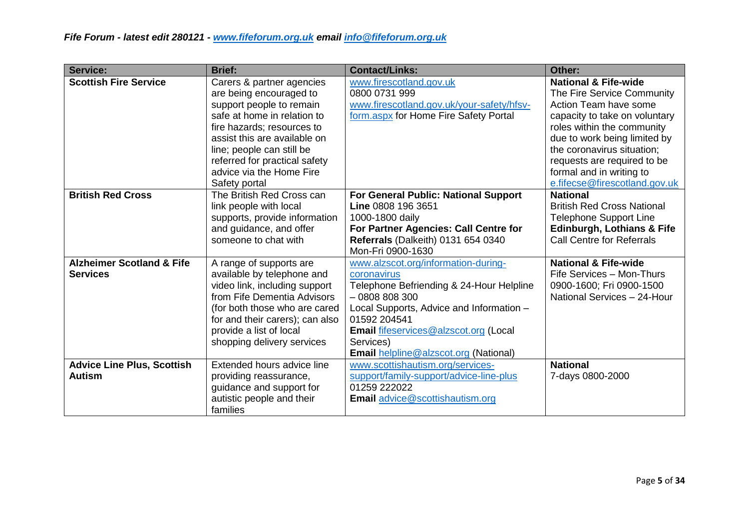| <b>Service:</b>                      | <b>Brief:</b>                   | <b>Contact/Links:</b>                         | Other:                                |
|--------------------------------------|---------------------------------|-----------------------------------------------|---------------------------------------|
| <b>Scottish Fire Service</b>         | Carers & partner agencies       | www.firescotland.gov.uk                       | <b>National &amp; Fife-wide</b>       |
|                                      | are being encouraged to         | 0800 0731 999                                 | The Fire Service Community            |
|                                      | support people to remain        | www.firescotland.gov.uk/your-safety/hfsv-     | Action Team have some                 |
|                                      | safe at home in relation to     | form.aspx for Home Fire Safety Portal         | capacity to take on voluntary         |
|                                      | fire hazards; resources to      |                                               | roles within the community            |
|                                      | assist this are available on    |                                               | due to work being limited by          |
|                                      | line; people can still be       |                                               | the coronavirus situation;            |
|                                      | referred for practical safety   |                                               | requests are required to be           |
|                                      | advice via the Home Fire        |                                               | formal and in writing to              |
|                                      | Safety portal                   |                                               | e.fifecse@firescotland.gov.uk         |
| <b>British Red Cross</b>             | The British Red Cross can       | For General Public: National Support          | <b>National</b>                       |
|                                      | link people with local          | Line 0808 196 3651                            | <b>British Red Cross National</b>     |
|                                      | supports, provide information   | 1000-1800 daily                               | <b>Telephone Support Line</b>         |
|                                      | and guidance, and offer         | For Partner Agencies: Call Centre for         | <b>Edinburgh, Lothians &amp; Fife</b> |
|                                      | someone to chat with            | Referrals (Dalkeith) 0131 654 0340            | <b>Call Centre for Referrals</b>      |
|                                      |                                 | Mon-Fri 0900-1630                             |                                       |
| <b>Alzheimer Scotland &amp; Fife</b> | A range of supports are         | www.alzscot.org/information-during-           | <b>National &amp; Fife-wide</b>       |
| <b>Services</b>                      | available by telephone and      | coronavirus                                   | Fife Services - Mon-Thurs             |
|                                      | video link, including support   | Telephone Befriending & 24-Hour Helpline      | 0900-1600; Fri 0900-1500              |
|                                      | from Fife Dementia Advisors     | $-0808808300$                                 | National Services - 24-Hour           |
|                                      | (for both those who are cared   | Local Supports, Advice and Information -      |                                       |
|                                      | for and their carers); can also | 01592 204541                                  |                                       |
|                                      | provide a list of local         | <b>Email fifeservices@alzscot.org (Local</b>  |                                       |
|                                      | shopping delivery services      | Services)                                     |                                       |
|                                      |                                 | <b>Email helpline @alzscot.org (National)</b> |                                       |
| <b>Advice Line Plus, Scottish</b>    | Extended hours advice line      | www.scottishautism.org/services-              | <b>National</b>                       |
| <b>Autism</b>                        | providing reassurance,          | support/family-support/advice-line-plus       | 7-days 0800-2000                      |
|                                      | guidance and support for        | 01259 222022                                  |                                       |
|                                      | autistic people and their       | Email advice@scottishautism.org               |                                       |
|                                      | families                        |                                               |                                       |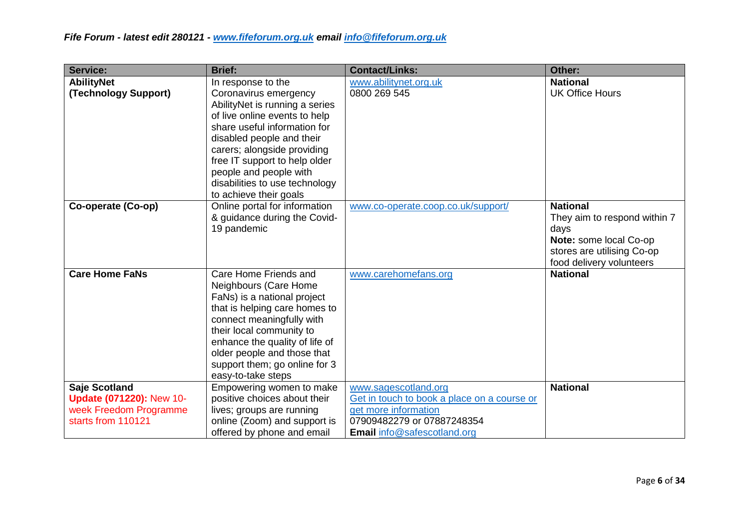| <b>Service:</b>                                                                                  | <b>Brief:</b>                                                                                                                                                                                                                                                                                               | <b>Contact/Links:</b>                                                                                                                                           | Other:                                                                                                                                      |
|--------------------------------------------------------------------------------------------------|-------------------------------------------------------------------------------------------------------------------------------------------------------------------------------------------------------------------------------------------------------------------------------------------------------------|-----------------------------------------------------------------------------------------------------------------------------------------------------------------|---------------------------------------------------------------------------------------------------------------------------------------------|
| <b>AbilityNet</b>                                                                                | In response to the                                                                                                                                                                                                                                                                                          | www.abilitynet.org.uk                                                                                                                                           | <b>National</b>                                                                                                                             |
| (Technology Support)                                                                             | Coronavirus emergency<br>AbilityNet is running a series<br>of live online events to help<br>share useful information for<br>disabled people and their<br>carers; alongside providing<br>free IT support to help older<br>people and people with<br>disabilities to use technology<br>to achieve their goals | 0800 269 545                                                                                                                                                    | <b>UK Office Hours</b>                                                                                                                      |
| Co-operate (Co-op)                                                                               | Online portal for information<br>& guidance during the Covid-<br>19 pandemic                                                                                                                                                                                                                                | www.co-operate.coop.co.uk/support/                                                                                                                              | <b>National</b><br>They aim to respond within 7<br>days<br>Note: some local Co-op<br>stores are utilising Co-op<br>food delivery volunteers |
| <b>Care Home FaNs</b>                                                                            | Care Home Friends and<br>Neighbours (Care Home<br>FaNs) is a national project<br>that is helping care homes to<br>connect meaningfully with<br>their local community to<br>enhance the quality of life of<br>older people and those that<br>support them; go online for 3<br>easy-to-take steps             | www.carehomefans.org                                                                                                                                            | <b>National</b>                                                                                                                             |
| Saje Scotland<br><b>Update (071220): New 10-</b><br>week Freedom Programme<br>starts from 110121 | Empowering women to make<br>positive choices about their<br>lives; groups are running<br>online (Zoom) and support is<br>offered by phone and email                                                                                                                                                         | www.sagescotland.org<br>Get in touch to book a place on a course or<br>get more information<br>07909482279 or 07887248354<br><b>Email</b> info@safescotland.org | <b>National</b>                                                                                                                             |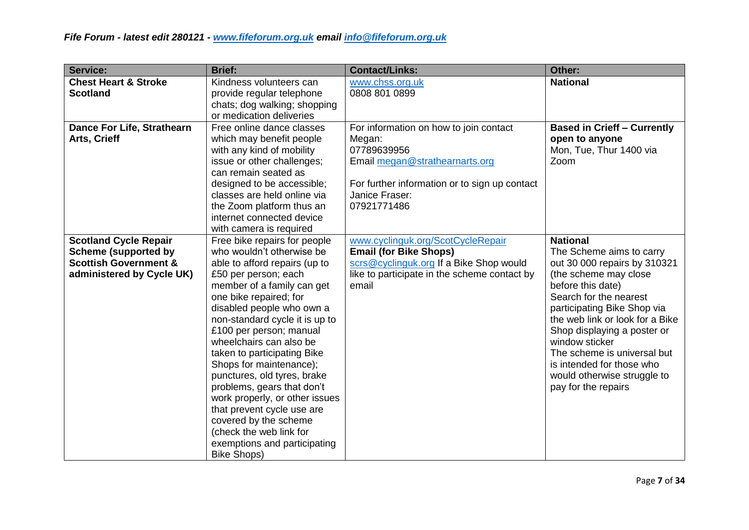| Service:                          | <b>Brief:</b>                                          | <b>Contact/Links:</b>                         | Other:                                        |
|-----------------------------------|--------------------------------------------------------|-----------------------------------------------|-----------------------------------------------|
| <b>Chest Heart &amp; Stroke</b>   | Kindness volunteers can                                | www.chss.org.uk                               | <b>National</b>                               |
| <b>Scotland</b>                   | provide regular telephone                              | 0808 801 0899                                 |                                               |
|                                   | chats; dog walking; shopping                           |                                               |                                               |
|                                   | or medication deliveries                               |                                               |                                               |
| <b>Dance For Life, Strathearn</b> | Free online dance classes                              | For information on how to join contact        | <b>Based in Crieff - Currently</b>            |
| Arts, Crieff                      | which may benefit people                               | Megan:                                        | open to anyone                                |
|                                   | with any kind of mobility                              | 07789639956                                   | Mon, Tue, Thur 1400 via                       |
|                                   | issue or other challenges;                             | Email megan@strathearnarts.org                | Zoom                                          |
|                                   | can remain seated as                                   |                                               |                                               |
|                                   | designed to be accessible;                             | For further information or to sign up contact |                                               |
|                                   | classes are held online via                            | Janice Fraser:                                |                                               |
|                                   | the Zoom platform thus an                              | 07921771486                                   |                                               |
|                                   | internet connected device                              |                                               |                                               |
|                                   | with camera is required                                |                                               |                                               |
| <b>Scotland Cycle Repair</b>      | Free bike repairs for people                           | www.cyclinguk.org/ScotCycleRepair             | <b>National</b>                               |
| <b>Scheme (supported by</b>       | who wouldn't otherwise be                              | <b>Email (for Bike Shops)</b>                 | The Scheme aims to carry                      |
| <b>Scottish Government &amp;</b>  | able to afford repairs (up to                          | scrs@cyclinguk.org If a Bike Shop would       | out 30 000 repairs by 310321                  |
| administered by Cycle UK)         | £50 per person; each                                   | like to participate in the scheme contact by  | (the scheme may close                         |
|                                   | member of a family can get                             | email                                         | before this date)                             |
|                                   | one bike repaired; for                                 |                                               | Search for the nearest                        |
|                                   | disabled people who own a                              |                                               | participating Bike Shop via                   |
|                                   | non-standard cycle it is up to                         |                                               | the web link or look for a Bike               |
|                                   | £100 per person; manual<br>wheelchairs can also be     |                                               | Shop displaying a poster or<br>window sticker |
|                                   |                                                        |                                               | The scheme is universal but                   |
|                                   | taken to participating Bike<br>Shops for maintenance); |                                               | is intended for those who                     |
|                                   | punctures, old tyres, brake                            |                                               | would otherwise struggle to                   |
|                                   | problems, gears that don't                             |                                               | pay for the repairs                           |
|                                   | work properly, or other issues                         |                                               |                                               |
|                                   | that prevent cycle use are                             |                                               |                                               |
|                                   | covered by the scheme                                  |                                               |                                               |
|                                   | (check the web link for                                |                                               |                                               |
|                                   | exemptions and participating                           |                                               |                                               |
|                                   | <b>Bike Shops)</b>                                     |                                               |                                               |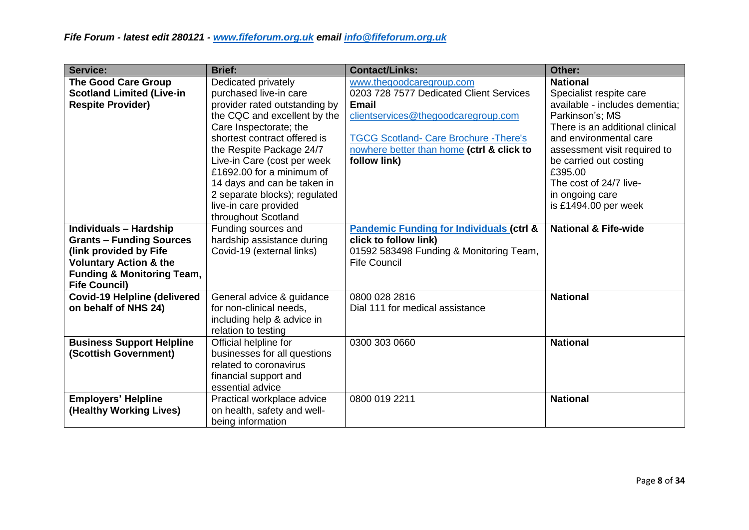| <b>Service:</b>                                                                                                                                                                                  | <b>Brief:</b>                                                                                                                                                                                                                                                                                                                                                                    | <b>Contact/Links:</b>                                                                                                                                                                                                                    | Other:                                                                                                                                                                                                                                                                                                   |
|--------------------------------------------------------------------------------------------------------------------------------------------------------------------------------------------------|----------------------------------------------------------------------------------------------------------------------------------------------------------------------------------------------------------------------------------------------------------------------------------------------------------------------------------------------------------------------------------|------------------------------------------------------------------------------------------------------------------------------------------------------------------------------------------------------------------------------------------|----------------------------------------------------------------------------------------------------------------------------------------------------------------------------------------------------------------------------------------------------------------------------------------------------------|
| <b>The Good Care Group</b><br><b>Scotland Limited (Live-in</b><br><b>Respite Provider)</b>                                                                                                       | Dedicated privately<br>purchased live-in care<br>provider rated outstanding by<br>the CQC and excellent by the<br>Care Inspectorate; the<br>shortest contract offered is<br>the Respite Package 24/7<br>Live-in Care (cost per week<br>£1692.00 for a minimum of<br>14 days and can be taken in<br>2 separate blocks); regulated<br>live-in care provided<br>throughout Scotland | www.thegoodcaregroup.com<br>0203 728 7577 Dedicated Client Services<br><b>Email</b><br>clientservices@thegoodcaregroup.com<br><b>TGCG Scotland- Care Brochure - There's</b><br>nowhere better than home (ctrl & click to<br>follow link) | <b>National</b><br>Specialist respite care<br>available - includes dementia;<br>Parkinson's; MS<br>There is an additional clinical<br>and environmental care<br>assessment visit required to<br>be carried out costing<br>£395.00<br>The cost of 24/7 live-<br>in ongoing care<br>is $£1494.00$ per week |
| <b>Individuals - Hardship</b><br><b>Grants - Funding Sources</b><br>(link provided by Fife<br><b>Voluntary Action &amp; the</b><br><b>Funding &amp; Monitoring Team,</b><br><b>Fife Council)</b> | Funding sources and<br>hardship assistance during<br>Covid-19 (external links)                                                                                                                                                                                                                                                                                                   | <b>Pandemic Funding for Individuals (ctrl &amp;</b><br>click to follow link)<br>01592 583498 Funding & Monitoring Team,<br><b>Fife Council</b>                                                                                           | <b>National &amp; Fife-wide</b>                                                                                                                                                                                                                                                                          |
| <b>Covid-19 Helpline (delivered</b><br>on behalf of NHS 24)                                                                                                                                      | General advice & guidance<br>for non-clinical needs,<br>including help & advice in<br>relation to testing                                                                                                                                                                                                                                                                        | 0800 028 2816<br>Dial 111 for medical assistance                                                                                                                                                                                         | <b>National</b>                                                                                                                                                                                                                                                                                          |
| <b>Business Support Helpline</b><br>(Scottish Government)                                                                                                                                        | Official helpline for<br>businesses for all questions<br>related to coronavirus<br>financial support and<br>essential advice                                                                                                                                                                                                                                                     | 0300 303 0660                                                                                                                                                                                                                            | <b>National</b>                                                                                                                                                                                                                                                                                          |
| <b>Employers' Helpline</b><br>(Healthy Working Lives)                                                                                                                                            | Practical workplace advice<br>on health, safety and well-<br>being information                                                                                                                                                                                                                                                                                                   | 0800 019 2211                                                                                                                                                                                                                            | <b>National</b>                                                                                                                                                                                                                                                                                          |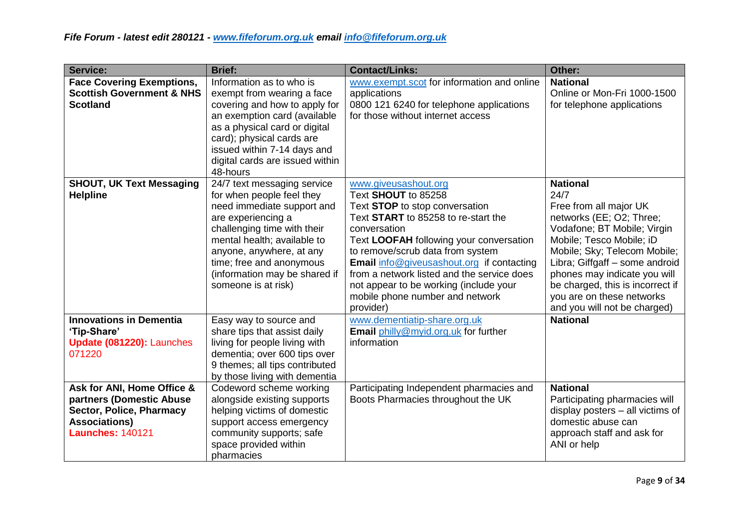| <b>Service:</b>                                                                                                                       | <b>Brief:</b>                                                                                                                                                                                                                                                                              | <b>Contact/Links:</b>                                                                                                                                                                                                                                                                                                                                                                                    | Other:                                                                                                                                                                                                                                                                                                                                      |
|---------------------------------------------------------------------------------------------------------------------------------------|--------------------------------------------------------------------------------------------------------------------------------------------------------------------------------------------------------------------------------------------------------------------------------------------|----------------------------------------------------------------------------------------------------------------------------------------------------------------------------------------------------------------------------------------------------------------------------------------------------------------------------------------------------------------------------------------------------------|---------------------------------------------------------------------------------------------------------------------------------------------------------------------------------------------------------------------------------------------------------------------------------------------------------------------------------------------|
| <b>Face Covering Exemptions,</b><br><b>Scottish Government &amp; NHS</b><br><b>Scotland</b>                                           | Information as to who is<br>exempt from wearing a face<br>covering and how to apply for<br>an exemption card (available<br>as a physical card or digital<br>card); physical cards are<br>issued within 7-14 days and<br>digital cards are issued within<br>48-hours                        | www.exempt.scot for information and online<br>applications<br>0800 121 6240 for telephone applications<br>for those without internet access                                                                                                                                                                                                                                                              | <b>National</b><br>Online or Mon-Fri 1000-1500<br>for telephone applications                                                                                                                                                                                                                                                                |
| <b>SHOUT, UK Text Messaging</b><br><b>Helpline</b>                                                                                    | 24/7 text messaging service<br>for when people feel they<br>need immediate support and<br>are experiencing a<br>challenging time with their<br>mental health; available to<br>anyone, anywhere, at any<br>time; free and anonymous<br>(information may be shared if<br>someone is at risk) | www.giveusashout.org<br>Text SHOUT to 85258<br>Text STOP to stop conversation<br>Text START to 85258 to re-start the<br>conversation<br>Text LOOFAH following your conversation<br>to remove/scrub data from system<br>Email info@giveusashout.org if contacting<br>from a network listed and the service does<br>not appear to be working (include your<br>mobile phone number and network<br>provider) | <b>National</b><br>24/7<br>Free from all major UK<br>networks (EE; O2; Three;<br>Vodafone; BT Mobile; Virgin<br>Mobile; Tesco Mobile; iD<br>Mobile; Sky; Telecom Mobile;<br>Libra; Giffgaff - some android<br>phones may indicate you will<br>be charged, this is incorrect if<br>you are on these networks<br>and you will not be charged) |
| <b>Innovations in Dementia</b><br>'Tip-Share'<br>Update (081220): Launches<br>071220                                                  | Easy way to source and<br>share tips that assist daily<br>living for people living with<br>dementia; over 600 tips over<br>9 themes; all tips contributed<br>by those living with dementia                                                                                                 | www.dementiatip-share.org.uk<br>Email philly@myid.org.uk for further<br>information                                                                                                                                                                                                                                                                                                                      | <b>National</b>                                                                                                                                                                                                                                                                                                                             |
| Ask for ANI, Home Office &<br>partners (Domestic Abuse<br>Sector, Police, Pharmacy<br><b>Associations)</b><br><b>Launches: 140121</b> | Codeword scheme working<br>alongside existing supports<br>helping victims of domestic<br>support access emergency<br>community supports; safe<br>space provided within<br>pharmacies                                                                                                       | Participating Independent pharmacies and<br>Boots Pharmacies throughout the UK                                                                                                                                                                                                                                                                                                                           | <b>National</b><br>Participating pharmacies will<br>display posters - all victims of<br>domestic abuse can<br>approach staff and ask for<br>ANI or help                                                                                                                                                                                     |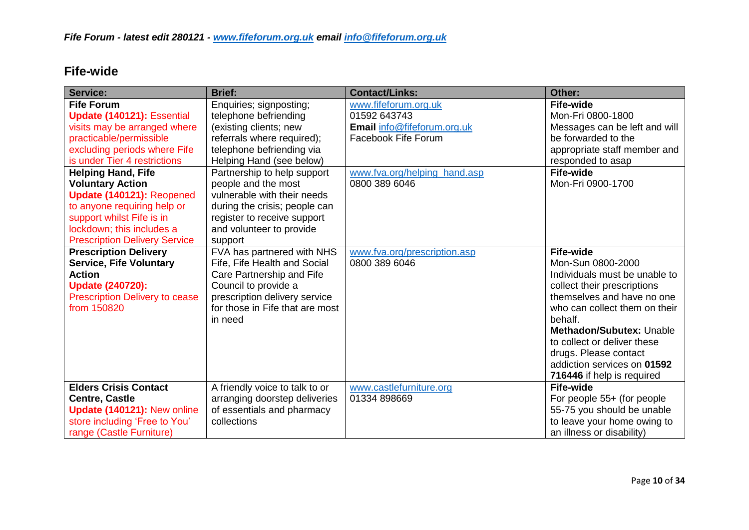## **Fife-wide**

| <b>Service:</b>                                                                                                                                                                                                                                                                                                                                                                                  | <b>Brief:</b>                                                                                                                                                                                                                                                                                                                                                 | <b>Contact/Links:</b>                                                                                                                       | Other:                                                                                                                                                                                                                                                                                                                           |
|--------------------------------------------------------------------------------------------------------------------------------------------------------------------------------------------------------------------------------------------------------------------------------------------------------------------------------------------------------------------------------------------------|---------------------------------------------------------------------------------------------------------------------------------------------------------------------------------------------------------------------------------------------------------------------------------------------------------------------------------------------------------------|---------------------------------------------------------------------------------------------------------------------------------------------|----------------------------------------------------------------------------------------------------------------------------------------------------------------------------------------------------------------------------------------------------------------------------------------------------------------------------------|
| <b>Fife Forum</b><br>Update (140121): Essential<br>visits may be arranged where<br>practicable/permissible<br>excluding periods where Fife<br>is under Tier 4 restrictions<br><b>Helping Hand, Fife</b><br><b>Voluntary Action</b><br>Update (140121): Reopened<br>to anyone requiring help or<br>support whilst Fife is in<br>lockdown; this includes a<br><b>Prescription Delivery Service</b> | Enquiries; signposting;<br>telephone befriending<br>(existing clients; new<br>referrals where required);<br>telephone befriending via<br>Helping Hand (see below)<br>Partnership to help support<br>people and the most<br>vulnerable with their needs<br>during the crisis; people can<br>register to receive support<br>and volunteer to provide<br>support | www.fifeforum.org.uk<br>01592 643743<br>Email info@fifeforum.org.uk<br>Facebook Fife Forum<br>www.fva.org/helping hand.asp<br>0800 389 6046 | <b>Fife-wide</b><br>Mon-Fri 0800-1800<br>Messages can be left and will<br>be forwarded to the<br>appropriate staff member and<br>responded to asap<br><b>Fife-wide</b><br>Mon-Fri 0900-1700                                                                                                                                      |
| <b>Prescription Delivery</b><br><b>Service, Fife Voluntary</b><br><b>Action</b><br><b>Update (240720):</b><br><b>Prescription Delivery to cease</b><br>from 150820                                                                                                                                                                                                                               | FVA has partnered with NHS<br>Fife, Fife Health and Social<br>Care Partnership and Fife<br>Council to provide a<br>prescription delivery service<br>for those in Fife that are most<br>in need                                                                                                                                                                | www.fva.org/prescription.asp<br>0800 389 6046                                                                                               | <b>Fife-wide</b><br>Mon-Sun 0800-2000<br>Individuals must be unable to<br>collect their prescriptions<br>themselves and have no one<br>who can collect them on their<br>behalf.<br>Methadon/Subutex: Unable<br>to collect or deliver these<br>drugs. Please contact<br>addiction services on 01592<br>716446 if help is required |
| <b>Elders Crisis Contact</b><br><b>Centre, Castle</b><br>Update (140121): New online<br>store including 'Free to You'<br>range (Castle Furniture)                                                                                                                                                                                                                                                | A friendly voice to talk to or<br>arranging doorstep deliveries<br>of essentials and pharmacy<br>collections                                                                                                                                                                                                                                                  | www.castlefurniture.org<br>01334 898669                                                                                                     | <b>Fife-wide</b><br>For people 55+ (for people<br>55-75 you should be unable<br>to leave your home owing to<br>an illness or disability)                                                                                                                                                                                         |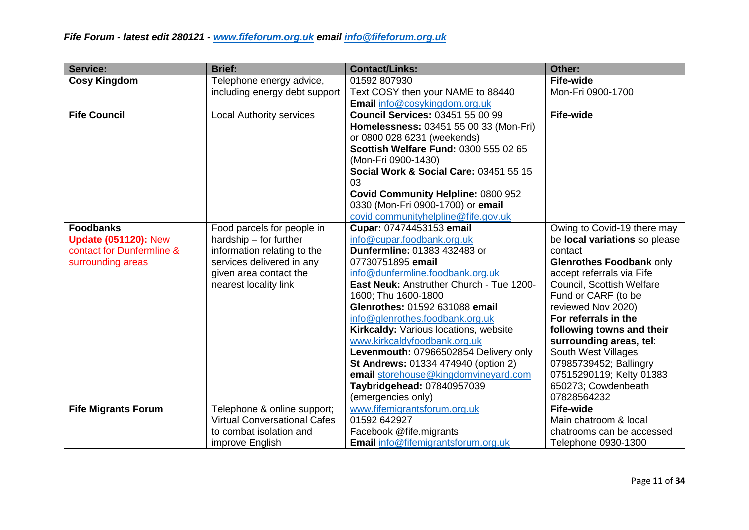| <b>Service:</b>                                                                                   | <b>Brief:</b>                                                                                                                                                       | <b>Contact/Links:</b>                                                                                                                                                                                                                                                                                                                                                                                                                                                                                                                               | Other:                                                                                                                                                                                                                                                                                                                                                                                                        |
|---------------------------------------------------------------------------------------------------|---------------------------------------------------------------------------------------------------------------------------------------------------------------------|-----------------------------------------------------------------------------------------------------------------------------------------------------------------------------------------------------------------------------------------------------------------------------------------------------------------------------------------------------------------------------------------------------------------------------------------------------------------------------------------------------------------------------------------------------|---------------------------------------------------------------------------------------------------------------------------------------------------------------------------------------------------------------------------------------------------------------------------------------------------------------------------------------------------------------------------------------------------------------|
| <b>Cosy Kingdom</b>                                                                               | Telephone energy advice,                                                                                                                                            | 01592 807930                                                                                                                                                                                                                                                                                                                                                                                                                                                                                                                                        | Fife-wide                                                                                                                                                                                                                                                                                                                                                                                                     |
|                                                                                                   | including energy debt support                                                                                                                                       | Text COSY then your NAME to 88440                                                                                                                                                                                                                                                                                                                                                                                                                                                                                                                   | Mon-Fri 0900-1700                                                                                                                                                                                                                                                                                                                                                                                             |
|                                                                                                   |                                                                                                                                                                     | <b>Email</b> info@cosykingdom.org.uk                                                                                                                                                                                                                                                                                                                                                                                                                                                                                                                |                                                                                                                                                                                                                                                                                                                                                                                                               |
| <b>Fife Council</b>                                                                               | <b>Local Authority services</b>                                                                                                                                     | <b>Council Services: 03451 55 00 99</b><br>Homelessness: 03451 55 00 33 (Mon-Fri)<br>or 0800 028 6231 (weekends)<br>Scottish Welfare Fund: 0300 555 02 65<br>(Mon-Fri 0900-1430)<br>Social Work & Social Care: 03451 55 15<br>03                                                                                                                                                                                                                                                                                                                    | <b>Fife-wide</b>                                                                                                                                                                                                                                                                                                                                                                                              |
|                                                                                                   |                                                                                                                                                                     | <b>Covid Community Helpline: 0800 952</b><br>0330 (Mon-Fri 0900-1700) or email<br>covid.communityhelpline@fife.gov.uk                                                                                                                                                                                                                                                                                                                                                                                                                               |                                                                                                                                                                                                                                                                                                                                                                                                               |
| <b>Foodbanks</b><br><b>Update (051120): New</b><br>contact for Dunfermline &<br>surrounding areas | Food parcels for people in<br>hardship - for further<br>information relating to the<br>services delivered in any<br>given area contact the<br>nearest locality link | Cupar: 07474453153 email<br>info@cupar.foodbank.org.uk<br>Dunfermline: 01383 432483 or<br>07730751895 email<br>info@dunfermline.foodbank.org.uk<br>East Neuk: Anstruther Church - Tue 1200-<br>1600; Thu 1600-1800<br>Glenrothes: 01592 631088 email<br>info@glenrothes.foodbank.org.uk<br>Kirkcaldy: Various locations, website<br>www.kirkcaldyfoodbank.org.uk<br>Levenmouth: 07966502854 Delivery only<br><b>St Andrews: 01334 474940 (option 2)</b><br>email storehouse@kingdomvineyard.com<br>Taybridgehead: 07840957039<br>(emergencies only) | Owing to Covid-19 there may<br>be local variations so please<br>contact<br>Glenrothes Foodbank only<br>accept referrals via Fife<br>Council, Scottish Welfare<br>Fund or CARF (to be<br>reviewed Nov 2020)<br>For referrals in the<br>following towns and their<br>surrounding areas, tel:<br>South West Villages<br>07985739452; Ballingry<br>07515290119; Kelty 01383<br>650273; Cowdenbeath<br>07828564232 |
| <b>Fife Migrants Forum</b>                                                                        | Telephone & online support;<br><b>Virtual Conversational Cafes</b><br>to combat isolation and                                                                       | www.fifemigrantsforum.org.uk<br>01592 642927<br>Facebook @fife.migrants                                                                                                                                                                                                                                                                                                                                                                                                                                                                             | <b>Fife-wide</b><br>Main chatroom & local<br>chatrooms can be accessed                                                                                                                                                                                                                                                                                                                                        |
|                                                                                                   | improve English                                                                                                                                                     | <b>Email</b> info@fifemigrantsforum.org.uk                                                                                                                                                                                                                                                                                                                                                                                                                                                                                                          | Telephone 0930-1300                                                                                                                                                                                                                                                                                                                                                                                           |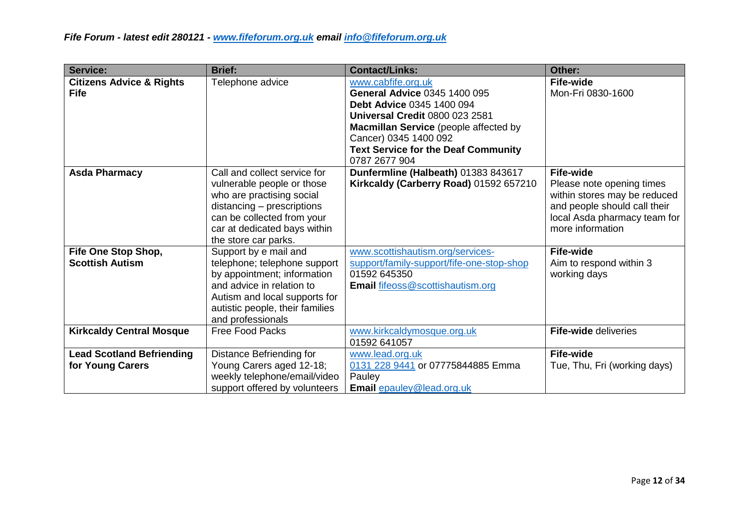| Service:                                             | <b>Brief:</b>                                                                                                                                                                                               | <b>Contact/Links:</b>                                                                                                                                                                                                                                     | Other:                                                                                                                                                            |
|------------------------------------------------------|-------------------------------------------------------------------------------------------------------------------------------------------------------------------------------------------------------------|-----------------------------------------------------------------------------------------------------------------------------------------------------------------------------------------------------------------------------------------------------------|-------------------------------------------------------------------------------------------------------------------------------------------------------------------|
| <b>Citizens Advice &amp; Rights</b><br><b>Fife</b>   | Telephone advice                                                                                                                                                                                            | www.cabfife.org.uk<br>General Advice 0345 1400 095<br>Debt Advice 0345 1400 094<br><b>Universal Credit 0800 023 2581</b><br>Macmillan Service (people affected by<br>Cancer) 0345 1400 092<br><b>Text Service for the Deaf Community</b><br>0787 2677 904 | <b>Fife-wide</b><br>Mon-Fri 0830-1600                                                                                                                             |
| <b>Asda Pharmacy</b>                                 | Call and collect service for<br>vulnerable people or those<br>who are practising social<br>distancing - prescriptions<br>can be collected from your<br>car at dedicated bays within<br>the store car parks. | Dunfermline (Halbeath) 01383 843617<br>Kirkcaldy (Carberry Road) 01592 657210                                                                                                                                                                             | <b>Fife-wide</b><br>Please note opening times<br>within stores may be reduced<br>and people should call their<br>local Asda pharmacy team for<br>more information |
| Fife One Stop Shop,<br><b>Scottish Autism</b>        | Support by e mail and<br>telephone; telephone support<br>by appointment; information<br>and advice in relation to<br>Autism and local supports for<br>autistic people, their families<br>and professionals  | www.scottishautism.org/services-<br>support/family-support/fife-one-stop-shop<br>01592 645350<br>Email fifeoss@scottishautism.org                                                                                                                         | <b>Fife-wide</b><br>Aim to respond within 3<br>working days                                                                                                       |
| <b>Kirkcaldy Central Mosque</b>                      | <b>Free Food Packs</b>                                                                                                                                                                                      | www.kirkcaldymosque.org.uk<br>01592 641057                                                                                                                                                                                                                | Fife-wide deliveries                                                                                                                                              |
| <b>Lead Scotland Befriending</b><br>for Young Carers | Distance Befriending for<br>Young Carers aged 12-18;<br>weekly telephone/email/video<br>support offered by volunteers                                                                                       | www.lead.org.uk<br>0131 228 9441 or 07775844885 Emma<br>Pauley<br><b>Email epauley@lead.org.uk</b>                                                                                                                                                        | <b>Fife-wide</b><br>Tue, Thu, Fri (working days)                                                                                                                  |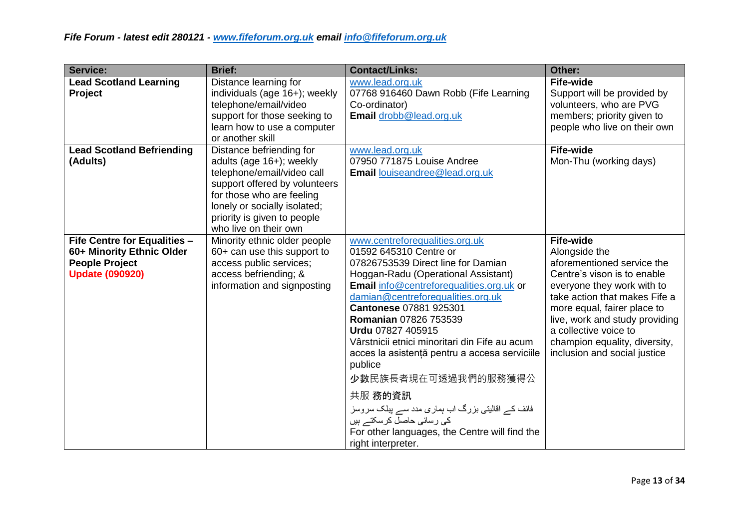| <b>Service:</b>                                                                                                     | <b>Brief:</b>                                                                                                                                                                                                                            | <b>Contact/Links:</b>                                                                                                                                                                                                                                                                                                                                                                                                                                                                                                                                                                                      | Other:                                                                                                                                                                                                                                                                                                                   |
|---------------------------------------------------------------------------------------------------------------------|------------------------------------------------------------------------------------------------------------------------------------------------------------------------------------------------------------------------------------------|------------------------------------------------------------------------------------------------------------------------------------------------------------------------------------------------------------------------------------------------------------------------------------------------------------------------------------------------------------------------------------------------------------------------------------------------------------------------------------------------------------------------------------------------------------------------------------------------------------|--------------------------------------------------------------------------------------------------------------------------------------------------------------------------------------------------------------------------------------------------------------------------------------------------------------------------|
| <b>Lead Scotland Learning</b><br><b>Project</b>                                                                     | Distance learning for<br>individuals (age 16+); weekly<br>telephone/email/video<br>support for those seeking to<br>learn how to use a computer<br>or another skill                                                                       | www.lead.org.uk<br>07768 916460 Dawn Robb (Fife Learning<br>Co-ordinator)<br>Email drobb@lead.org.uk                                                                                                                                                                                                                                                                                                                                                                                                                                                                                                       | <b>Fife-wide</b><br>Support will be provided by<br>volunteers, who are PVG<br>members; priority given to<br>people who live on their own                                                                                                                                                                                 |
| <b>Lead Scotland Befriending</b><br>(Adults)                                                                        | Distance befriending for<br>adults (age 16+); weekly<br>telephone/email/video call<br>support offered by volunteers<br>for those who are feeling<br>lonely or socially isolated;<br>priority is given to people<br>who live on their own | www.lead.org.uk<br>07950 771875 Louise Andree<br>Email louiseandree@lead.org.uk                                                                                                                                                                                                                                                                                                                                                                                                                                                                                                                            | <b>Fife-wide</b><br>Mon-Thu (working days)                                                                                                                                                                                                                                                                               |
| <b>Fife Centre for Equalities -</b><br>60+ Minority Ethnic Older<br><b>People Project</b><br><b>Update (090920)</b> | Minority ethnic older people<br>60+ can use this support to<br>access public services;<br>access befriending; &<br>information and signposting                                                                                           | www.centreforequalities.org.uk<br>01592 645310 Centre or<br>07826753539 Direct line for Damian<br>Hoggan-Radu (Operational Assistant)<br><b>Email</b> info@centreforequalities.org.uk or<br>damian@centreforequalities.org.uk<br>Cantonese 07881 925301<br>Romanian 07826 753539<br>Urdu 07827 405915<br>Vârstnicii etnici minoritari din Fife au acum<br>acces la asistență pentru a accesa serviciile<br>publice<br>少數民族長者現在可透過我們的服務獲得公<br>共服 務的資訊<br>فائف کے اقالیتی بزرگ اب ہماری مدد سے پبلک سروسز<br>کی رسائی حاصل کرسکتے ہیں<br>For other languages, the Centre will find the<br>right interpreter. | <b>Fife-wide</b><br>Alongside the<br>aforementioned service the<br>Centre's vison is to enable<br>everyone they work with to<br>take action that makes Fife a<br>more equal, fairer place to<br>live, work and study providing<br>a collective voice to<br>champion equality, diversity,<br>inclusion and social justice |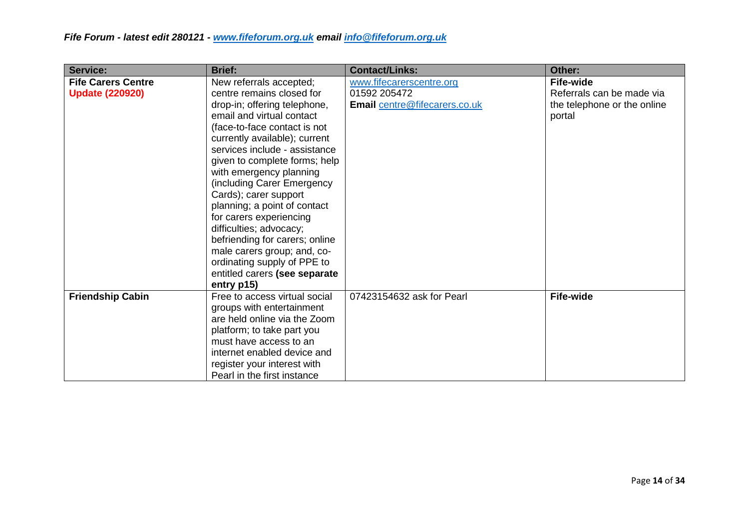| <b>Service:</b>                                     | <b>Brief:</b>                                                                                                                                                                                                                                                                                                                                                                                                                                                                                                                                                               | <b>Contact/Links:</b>                                                     | Other:                                                                                 |
|-----------------------------------------------------|-----------------------------------------------------------------------------------------------------------------------------------------------------------------------------------------------------------------------------------------------------------------------------------------------------------------------------------------------------------------------------------------------------------------------------------------------------------------------------------------------------------------------------------------------------------------------------|---------------------------------------------------------------------------|----------------------------------------------------------------------------------------|
| <b>Fife Carers Centre</b><br><b>Update (220920)</b> | New referrals accepted;<br>centre remains closed for<br>drop-in; offering telephone,<br>email and virtual contact<br>(face-to-face contact is not<br>currently available); current<br>services include - assistance<br>given to complete forms; help<br>with emergency planning<br>(including Carer Emergency<br>Cards); carer support<br>planning; a point of contact<br>for carers experiencing<br>difficulties; advocacy;<br>befriending for carers; online<br>male carers group; and, co-<br>ordinating supply of PPE to<br>entitled carers (see separate<br>entry p15) | www.fifecarerscentre.org<br>01592 205472<br>Email centre@fifecarers.co.uk | <b>Fife-wide</b><br>Referrals can be made via<br>the telephone or the online<br>portal |
| <b>Friendship Cabin</b>                             | Free to access virtual social<br>groups with entertainment<br>are held online via the Zoom<br>platform; to take part you<br>must have access to an<br>internet enabled device and<br>register your interest with<br>Pearl in the first instance                                                                                                                                                                                                                                                                                                                             | 07423154632 ask for Pearl                                                 | <b>Fife-wide</b>                                                                       |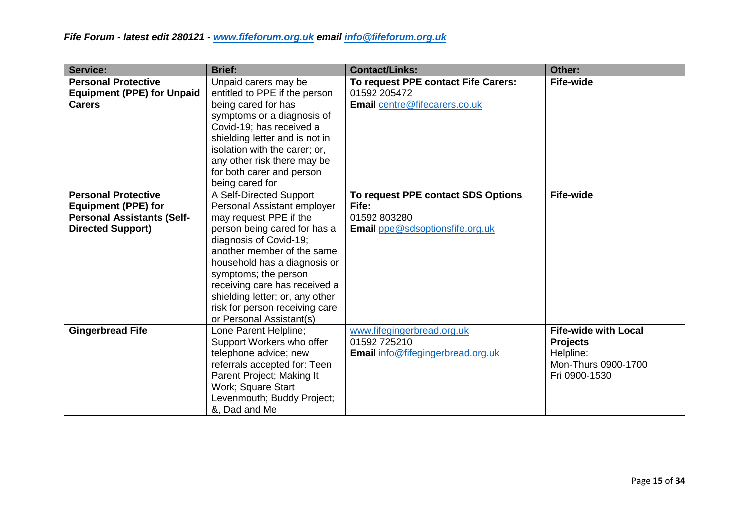| <b>Service:</b>                                                 | <b>Brief:</b>                                                    | <b>Contact/Links:</b>                               | Other:                      |
|-----------------------------------------------------------------|------------------------------------------------------------------|-----------------------------------------------------|-----------------------------|
| <b>Personal Protective</b><br><b>Equipment (PPE) for Unpaid</b> | Unpaid carers may be<br>entitled to PPE if the person            | To request PPE contact Fife Carers:<br>01592 205472 | <b>Fife-wide</b>            |
| <b>Carers</b>                                                   | being cared for has                                              | Email centre@fifecarers.co.uk                       |                             |
|                                                                 | symptoms or a diagnosis of                                       |                                                     |                             |
|                                                                 | Covid-19; has received a                                         |                                                     |                             |
|                                                                 | shielding letter and is not in                                   |                                                     |                             |
|                                                                 | isolation with the carer; or,                                    |                                                     |                             |
|                                                                 | any other risk there may be                                      |                                                     |                             |
|                                                                 | for both carer and person<br>being cared for                     |                                                     |                             |
| <b>Personal Protective</b>                                      | A Self-Directed Support                                          | To request PPE contact SDS Options                  | <b>Fife-wide</b>            |
| <b>Equipment (PPE) for</b>                                      | Personal Assistant employer                                      | Fife:                                               |                             |
| <b>Personal Assistants (Self-</b>                               | may request PPE if the                                           | 01592 803280                                        |                             |
| <b>Directed Support)</b>                                        | person being cared for has a                                     | Email ppe@sdsoptionsfife.org.uk                     |                             |
|                                                                 | diagnosis of Covid-19;                                           |                                                     |                             |
|                                                                 | another member of the same                                       |                                                     |                             |
|                                                                 | household has a diagnosis or                                     |                                                     |                             |
|                                                                 | symptoms; the person                                             |                                                     |                             |
|                                                                 | receiving care has received a<br>shielding letter; or, any other |                                                     |                             |
|                                                                 | risk for person receiving care                                   |                                                     |                             |
|                                                                 | or Personal Assistant(s)                                         |                                                     |                             |
| <b>Gingerbread Fife</b>                                         | Lone Parent Helpline;                                            | www.fifegingerbread.org.uk                          | <b>Fife-wide with Local</b> |
|                                                                 | Support Workers who offer                                        | 01592 725210                                        | <b>Projects</b>             |
|                                                                 | telephone advice; new                                            | Email info@fifegingerbread.org.uk                   | Helpline:                   |
|                                                                 | referrals accepted for: Teen                                     |                                                     | Mon-Thurs 0900-1700         |
|                                                                 | Parent Project; Making It                                        |                                                     | Fri 0900-1530               |
|                                                                 | Work; Square Start                                               |                                                     |                             |
|                                                                 | Levenmouth; Buddy Project;<br>&, Dad and Me                      |                                                     |                             |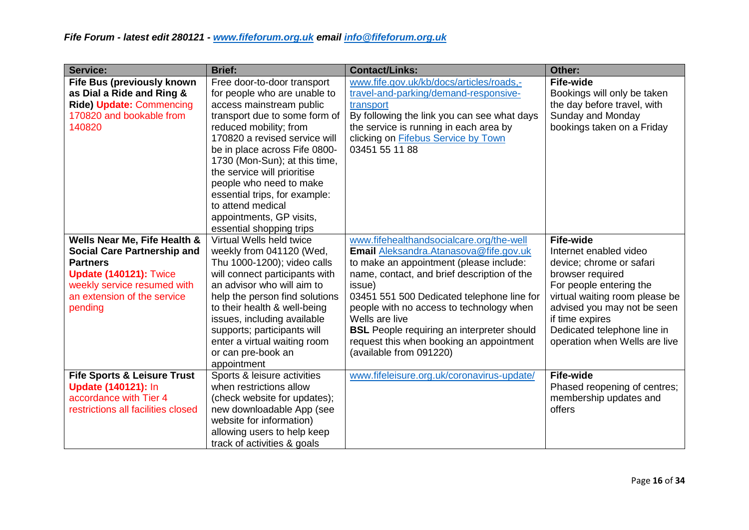| <b>Service:</b>                                                                                                                                                                                 | <b>Brief:</b>                                                                                                                                                                                                                                                                                                                                                                                                                 | <b>Contact/Links:</b>                                                                                                                                                                                                                                                                                                                                                                                                           | Other:                                                                                                                                                                                                                                                                    |
|-------------------------------------------------------------------------------------------------------------------------------------------------------------------------------------------------|-------------------------------------------------------------------------------------------------------------------------------------------------------------------------------------------------------------------------------------------------------------------------------------------------------------------------------------------------------------------------------------------------------------------------------|---------------------------------------------------------------------------------------------------------------------------------------------------------------------------------------------------------------------------------------------------------------------------------------------------------------------------------------------------------------------------------------------------------------------------------|---------------------------------------------------------------------------------------------------------------------------------------------------------------------------------------------------------------------------------------------------------------------------|
| <b>Fife Bus (previously known</b><br>as Dial a Ride and Ring &<br><b>Ride) Update: Commencing</b><br>170820 and bookable from<br>140820                                                         | Free door-to-door transport<br>for people who are unable to<br>access mainstream public<br>transport due to some form of<br>reduced mobility; from<br>170820 a revised service will<br>be in place across Fife 0800-<br>1730 (Mon-Sun); at this time,<br>the service will prioritise<br>people who need to make<br>essential trips, for example:<br>to attend medical<br>appointments, GP visits,<br>essential shopping trips | www.fife.gov.uk/kb/docs/articles/roads,-<br>travel-and-parking/demand-responsive-<br>transport<br>By following the link you can see what days<br>the service is running in each area by<br>clicking on Fifebus Service by Town<br>03451 55 11 88                                                                                                                                                                                | <b>Fife-wide</b><br>Bookings will only be taken<br>the day before travel, with<br>Sunday and Monday<br>bookings taken on a Friday                                                                                                                                         |
| Wells Near Me, Fife Health &<br><b>Social Care Partnership and</b><br><b>Partners</b><br><b>Update (140121): Twice</b><br>weekly service resumed with<br>an extension of the service<br>pending | Virtual Wells held twice<br>weekly from 041120 (Wed,<br>Thu 1000-1200); video calls<br>will connect participants with<br>an advisor who will aim to<br>help the person find solutions<br>to their health & well-being<br>issues, including available<br>supports; participants will<br>enter a virtual waiting room<br>or can pre-book an<br>appointment                                                                      | www.fifehealthandsocialcare.org/the-well<br>Email Aleksandra. Atanasova@fife.gov.uk<br>to make an appointment (please include:<br>name, contact, and brief description of the<br>issue)<br>03451 551 500 Dedicated telephone line for<br>people with no access to technology when<br>Wells are live<br><b>BSL</b> People requiring an interpreter should<br>request this when booking an appointment<br>(available from 091220) | <b>Fife-wide</b><br>Internet enabled video<br>device; chrome or safari<br>browser required<br>For people entering the<br>virtual waiting room please be<br>advised you may not be seen<br>if time expires<br>Dedicated telephone line in<br>operation when Wells are live |
| <b>Fife Sports &amp; Leisure Trust</b><br><b>Update (140121): In</b><br>accordance with Tier 4<br>restrictions all facilities closed                                                            | Sports & leisure activities<br>when restrictions allow<br>(check website for updates);<br>new downloadable App (see<br>website for information)<br>allowing users to help keep<br>track of activities & goals                                                                                                                                                                                                                 | www.fifeleisure.org.uk/coronavirus-update/                                                                                                                                                                                                                                                                                                                                                                                      | <b>Fife-wide</b><br>Phased reopening of centres;<br>membership updates and<br>offers                                                                                                                                                                                      |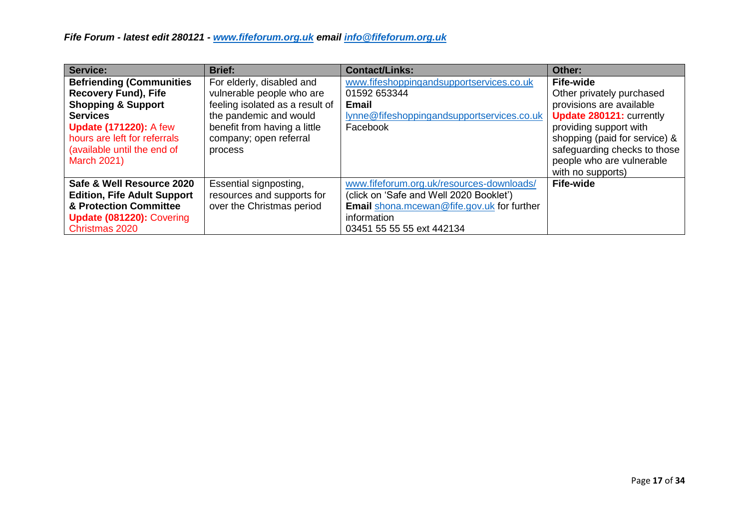| Service:                           | <b>Brief:</b>                   | <b>Contact/Links:</b>                             | Other:                        |
|------------------------------------|---------------------------------|---------------------------------------------------|-------------------------------|
| <b>Befriending (Communities)</b>   | For elderly, disabled and       | www.fifeshoppingandsupportservices.co.uk          | <b>Fife-wide</b>              |
| <b>Recovery Fund), Fife</b>        | vulnerable people who are       | 01592 653344                                      | Other privately purchased     |
| <b>Shopping &amp; Support</b>      | feeling isolated as a result of | Email                                             | provisions are available      |
| <b>Services</b>                    | the pandemic and would          | lynne@fifeshoppingandsupportservices.co.uk        | Update 280121: currently      |
| <b>Update (171220): A few</b>      | benefit from having a little    | Facebook                                          | providing support with        |
| hours are left for referrals       | company; open referral          |                                                   | shopping (paid for service) & |
| (available until the end of        | process                         |                                                   | safeguarding checks to those  |
| <b>March 2021)</b>                 |                                 |                                                   | people who are vulnerable     |
|                                    |                                 |                                                   | with no supports)             |
| Safe & Well Resource 2020          | Essential signposting,          | www.fifeforum.org.uk/resources-downloads/         | Fife-wide                     |
| <b>Edition, Fife Adult Support</b> | resources and supports for      | (click on 'Safe and Well 2020 Booklet')           |                               |
| & Protection Committee             | over the Christmas period       | <b>Email</b> shona.mcewan@fife.gov.uk for further |                               |
| Update (081220): Covering          |                                 | information                                       |                               |
| Christmas 2020                     |                                 | 03451 55 55 55 ext 442134                         |                               |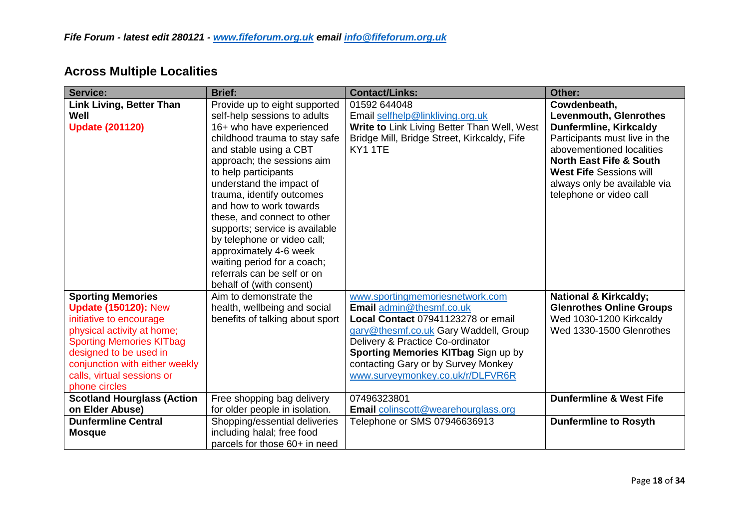| Service:                          | <b>Brief:</b>                   | <b>Contact/Links:</b>                       | Other:                             |
|-----------------------------------|---------------------------------|---------------------------------------------|------------------------------------|
| <b>Link Living, Better Than</b>   | Provide up to eight supported   | 01592 644048                                | Cowdenbeath,                       |
| Well                              | self-help sessions to adults    | Email selfhelp@linkliving.org.uk            | <b>Levenmouth, Glenrothes</b>      |
| <b>Update (201120)</b>            | 16+ who have experienced        | Write to Link Living Better Than Well, West | <b>Dunfermline, Kirkcaldy</b>      |
|                                   | childhood trauma to stay safe   | Bridge Mill, Bridge Street, Kirkcaldy, Fife | Participants must live in the      |
|                                   | and stable using a CBT          | <b>KY1 1TE</b>                              | abovementioned localities          |
|                                   | approach; the sessions aim      |                                             | <b>North East Fife &amp; South</b> |
|                                   | to help participants            |                                             | <b>West Fife Sessions will</b>     |
|                                   | understand the impact of        |                                             | always only be available via       |
|                                   | trauma, identify outcomes       |                                             | telephone or video call            |
|                                   | and how to work towards         |                                             |                                    |
|                                   | these, and connect to other     |                                             |                                    |
|                                   | supports; service is available  |                                             |                                    |
|                                   | by telephone or video call;     |                                             |                                    |
|                                   | approximately 4-6 week          |                                             |                                    |
|                                   | waiting period for a coach;     |                                             |                                    |
|                                   | referrals can be self or on     |                                             |                                    |
|                                   | behalf of (with consent)        |                                             |                                    |
| <b>Sporting Memories</b>          | Aim to demonstrate the          | www.sportingmemoriesnetwork.com             | <b>National &amp; Kirkcaldy;</b>   |
| <b>Update (150120): New</b>       | health, wellbeing and social    | Email admin@thesmf.co.uk                    | <b>Glenrothes Online Groups</b>    |
| initiative to encourage           | benefits of talking about sport | Local Contact 07941123278 or email          | Wed 1030-1200 Kirkcaldy            |
| physical activity at home;        |                                 | gary@thesmf.co.uk Gary Waddell, Group       | Wed 1330-1500 Glenrothes           |
| <b>Sporting Memories KITbag</b>   |                                 | Delivery & Practice Co-ordinator            |                                    |
| designed to be used in            |                                 | Sporting Memories KITbag Sign up by         |                                    |
| conjunction with either weekly    |                                 | contacting Gary or by Survey Monkey         |                                    |
| calls, virtual sessions or        |                                 | www.surveymonkey.co.uk/r/DLFVR6R            |                                    |
| phone circles                     |                                 |                                             |                                    |
| <b>Scotland Hourglass (Action</b> | Free shopping bag delivery      | 07496323801                                 | <b>Dunfermline &amp; West Fife</b> |
| on Elder Abuse)                   | for older people in isolation.  | <b>Email</b> colinscott@wearehourglass.org  |                                    |
| <b>Dunfermline Central</b>        | Shopping/essential deliveries   | Telephone or SMS 07946636913                | <b>Dunfermline to Rosyth</b>       |
| <b>Mosque</b>                     | including halal; free food      |                                             |                                    |
|                                   | parcels for those 60+ in need   |                                             |                                    |

## **Across Multiple Localities**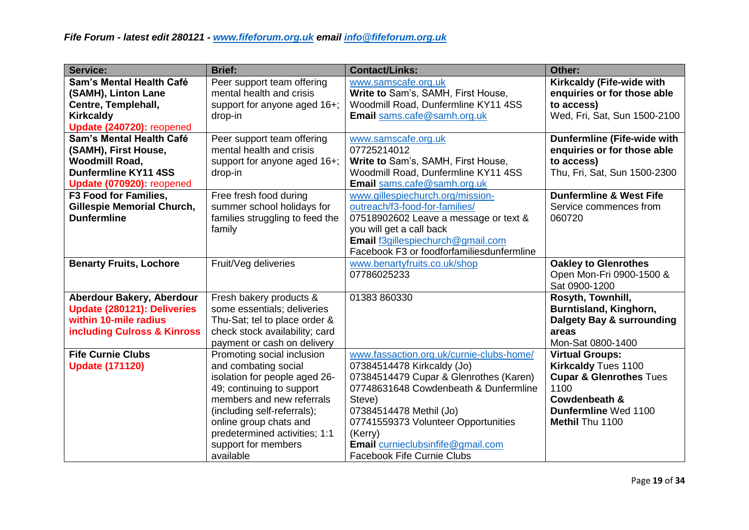| <b>Service:</b>                        | <b>Brief:</b>                   | <b>Contact/Links:</b>                     | Other:                             |
|----------------------------------------|---------------------------------|-------------------------------------------|------------------------------------|
| Sam's Mental Health Café               | Peer support team offering      | www.samscafe.org.uk                       | Kirkcaldy (Fife-wide with          |
| (SAMH), Linton Lane                    | mental health and crisis        | Write to Sam's, SAMH, First House,        | enquiries or for those able        |
| Centre, Templehall,                    | support for anyone aged 16+;    | Woodmill Road, Dunfermline KY11 4SS       | to access)                         |
| <b>Kirkcaldy</b>                       | drop-in                         | Email sams.cafe@samh.org.uk               | Wed, Fri, Sat, Sun 1500-2100       |
| Update (240720): reopened              |                                 |                                           |                                    |
| Sam's Mental Health Café               | Peer support team offering      | www.samscafe.org.uk                       | Dunfermline (Fife-wide with        |
| (SAMH), First House,                   | mental health and crisis        | 07725214012                               | enquiries or for those able        |
| <b>Woodmill Road,</b>                  | support for anyone aged 16+;    | Write to Sam's, SAMH, First House,        | to access)                         |
| <b>Dunfermline KY11 4SS</b>            | drop-in                         | Woodmill Road, Dunfermline KY11 4SS       | Thu, Fri, Sat, Sun 1500-2300       |
| Update (070920): reopened              |                                 | Email sams.cafe@samh.org.uk               |                                    |
| F3 Food for Families,                  | Free fresh food during          | www.gillespiechurch.org/mission-          | <b>Dunfermline &amp; West Fife</b> |
| <b>Gillespie Memorial Church,</b>      | summer school holidays for      | outreach/f3-food-for-families/            | Service commences from             |
| <b>Dunfermline</b>                     | families struggling to feed the | 07518902602 Leave a message or text &     | 060720                             |
|                                        | family                          | you will get a call back                  |                                    |
|                                        |                                 | Email f3gillespiechurch@gmail.com         |                                    |
|                                        |                                 | Facebook F3 or foodforfamiliesdunfermline |                                    |
| <b>Benarty Fruits, Lochore</b>         | Fruit/Veg deliveries            | www.benartyfruits.co.uk/shop              | <b>Oakley to Glenrothes</b>        |
|                                        |                                 | 07786025233                               | Open Mon-Fri 0900-1500 &           |
|                                        |                                 |                                           | Sat 0900-1200                      |
| Aberdour Bakery, Aberdour              | Fresh bakery products &         | 01383 860330                              | Rosyth, Townhill,                  |
| Update (280121): Deliveries            | some essentials; deliveries     |                                           | Burntisland, Kinghorn,             |
| within 10-mile radius                  | Thu-Sat; tel to place order &   |                                           | Dalgety Bay & surrounding          |
| <b>including Culross &amp; Kinross</b> | check stock availability; card  |                                           | areas                              |
|                                        | payment or cash on delivery     |                                           | Mon-Sat 0800-1400                  |
| <b>Fife Curnie Clubs</b>               | Promoting social inclusion      | www.fassaction.org.uk/curnie-clubs-home/  | <b>Virtual Groups:</b>             |
| <b>Update (171120)</b>                 | and combating social            | 07384514478 Kirkcaldy (Jo)                | <b>Kirkcaldy Tues 1100</b>         |
|                                        | isolation for people aged 26-   | 07384514479 Cupar & Glenrothes (Karen)    | <b>Cupar &amp; Glenrothes Tues</b> |
|                                        | 49; continuing to support       | 07748631648 Cowdenbeath & Dunfermline     | 1100                               |
|                                        | members and new referrals       | Steve)                                    | Cowdenbeath &                      |
|                                        | (including self-referrals);     | 07384514478 Methil (Jo)                   | Dunfermline Wed 1100               |
|                                        | online group chats and          | 07741559373 Volunteer Opportunities       | Methil Thu 1100                    |
|                                        | predetermined activities; 1:1   | (Kerry)                                   |                                    |
|                                        | support for members             | Email curnieclubsinfife@gmail.com         |                                    |
|                                        | available                       | <b>Facebook Fife Curnie Clubs</b>         |                                    |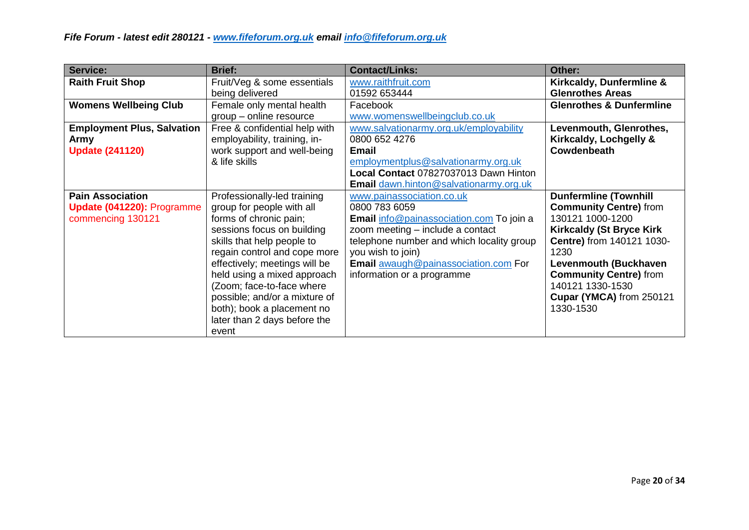| <b>Service:</b>                   | <b>Brief:</b>                 | <b>Contact/Links:</b>                     | Other:                              |
|-----------------------------------|-------------------------------|-------------------------------------------|-------------------------------------|
| <b>Raith Fruit Shop</b>           | Fruit/Veg & some essentials   | www.raithfruit.com                        | Kirkcaldy, Dunfermline &            |
|                                   | being delivered               | 01592 653444                              | <b>Glenrothes Areas</b>             |
| <b>Womens Wellbeing Club</b>      | Female only mental health     | Facebook                                  | <b>Glenrothes &amp; Dunfermline</b> |
|                                   | group – online resource       | www.womenswellbeingclub.co.uk             |                                     |
| <b>Employment Plus, Salvation</b> | Free & confidential help with | www.salvationarmy.org.uk/employability    | Levenmouth, Glenrothes,             |
| <b>Army</b>                       | employability, training, in-  | 0800 652 4276                             | Kirkcaldy, Lochgelly &              |
| <b>Update (241120)</b>            | work support and well-being   | <b>Email</b>                              | Cowdenbeath                         |
|                                   | & life skills                 | employmentplus@salvationarmy.org.uk       |                                     |
|                                   |                               | Local Contact 07827037013 Dawn Hinton     |                                     |
|                                   |                               | Email dawn.hinton@salvationarmy.org.uk    |                                     |
| <b>Pain Association</b>           | Professionally-led training   | www.painassociation.co.uk                 | <b>Dunfermline (Townhill</b>        |
| Update (041220): Programme        | group for people with all     | 0800 783 6059                             | <b>Community Centre)</b> from       |
| commencing 130121                 | forms of chronic pain;        | Email info@painassociation.com To join a  | 130121 1000-1200                    |
|                                   | sessions focus on building    | zoom meeting - include a contact          | <b>Kirkcaldy (St Bryce Kirk)</b>    |
|                                   | skills that help people to    | telephone number and which locality group | Centre) from 140121 1030-           |
|                                   | regain control and cope more  | you wish to join)                         | 1230                                |
|                                   | effectively; meetings will be | Email awaugh@painassociation.com For      | Levenmouth (Buckhaven               |
|                                   | held using a mixed approach   | information or a programme                | <b>Community Centre)</b> from       |
|                                   | (Zoom; face-to-face where     |                                           | 140121 1330-1530                    |
|                                   | possible; and/or a mixture of |                                           | Cupar (YMCA) from 250121            |
|                                   | both); book a placement no    |                                           | 1330-1530                           |
|                                   | later than 2 days before the  |                                           |                                     |
|                                   | event                         |                                           |                                     |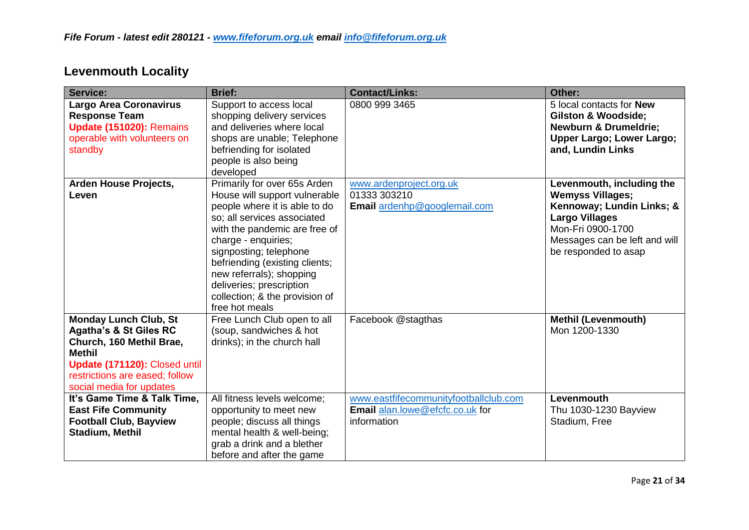| Service:                                                                                                                                                                                                      | <b>Brief:</b>                                                                                                                                                                                                                                                                                                                                                 | <b>Contact/Links:</b>                                                                   | Other:                                                                                                                                                                                   |
|---------------------------------------------------------------------------------------------------------------------------------------------------------------------------------------------------------------|---------------------------------------------------------------------------------------------------------------------------------------------------------------------------------------------------------------------------------------------------------------------------------------------------------------------------------------------------------------|-----------------------------------------------------------------------------------------|------------------------------------------------------------------------------------------------------------------------------------------------------------------------------------------|
| <b>Largo Area Coronavirus</b><br><b>Response Team</b><br>Update (151020): Remains<br>operable with volunteers on<br>standby                                                                                   | Support to access local<br>shopping delivery services<br>and deliveries where local<br>shops are unable; Telephone<br>befriending for isolated<br>people is also being<br>developed                                                                                                                                                                           | 0800 999 3465                                                                           | 5 local contacts for <b>New</b><br><b>Gilston &amp; Woodside;</b><br><b>Newburn &amp; Drumeldrie;</b><br><b>Upper Largo; Lower Largo;</b><br>and, Lundin Links                           |
| Arden House Projects,<br>Leven                                                                                                                                                                                | Primarily for over 65s Arden<br>House will support vulnerable<br>people where it is able to do<br>so; all services associated<br>with the pandemic are free of<br>charge - enquiries;<br>signposting; telephone<br>befriending (existing clients;<br>new referrals); shopping<br>deliveries; prescription<br>collection; & the provision of<br>free hot meals | www.ardenproject.org.uk<br>01333 303210<br>Email ardenhp@googlemail.com                 | Levenmouth, including the<br><b>Wemyss Villages;</b><br>Kennoway; Lundin Links; &<br><b>Largo Villages</b><br>Mon-Fri 0900-1700<br>Messages can be left and will<br>be responded to asap |
| <b>Monday Lunch Club, St</b><br><b>Agatha's &amp; St Giles RC</b><br>Church, 160 Methil Brae,<br><b>Methil</b><br>Update (171120): Closed until<br>restrictions are eased; follow<br>social media for updates | Free Lunch Club open to all<br>(soup, sandwiches & hot<br>drinks); in the church hall                                                                                                                                                                                                                                                                         | Facebook @stagthas                                                                      | <b>Methil (Levenmouth)</b><br>Mon 1200-1330                                                                                                                                              |
| It's Game Time & Talk Time,<br><b>East Fife Community</b><br><b>Football Club, Bayview</b><br>Stadium, Methil                                                                                                 | All fitness levels welcome;<br>opportunity to meet new<br>people; discuss all things<br>mental health & well-being;<br>grab a drink and a blether<br>before and after the game                                                                                                                                                                                | www.eastfifecommunityfootballclub.com<br>Email alan.lowe@efcfc.co.uk for<br>information | Levenmouth<br>Thu 1030-1230 Bayview<br>Stadium, Free                                                                                                                                     |

# **Levenmouth Locality**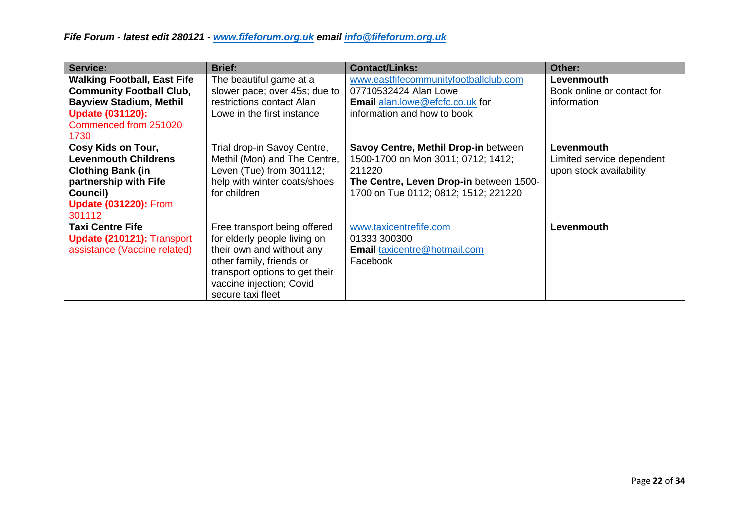| Service:                                                                                                                                                            | <b>Brief:</b>                                                                                                                                                                                            | <b>Contact/Links:</b>                                                                                                                                                   | Other:                                                             |
|---------------------------------------------------------------------------------------------------------------------------------------------------------------------|----------------------------------------------------------------------------------------------------------------------------------------------------------------------------------------------------------|-------------------------------------------------------------------------------------------------------------------------------------------------------------------------|--------------------------------------------------------------------|
| <b>Walking Football, East Fife</b><br><b>Community Football Club,</b><br><b>Bayview Stadium, Methil</b><br><b>Update (031120):</b><br>Commenced from 251020<br>1730 | The beautiful game at a<br>slower pace; over 45s; due to<br>restrictions contact Alan<br>Lowe in the first instance                                                                                      | www.eastfifecommunityfootballclub.com<br>07710532424 Alan Lowe<br>Email alan.lowe@efcfc.co.uk for<br>information and how to book                                        | Levenmouth<br>Book online or contact for<br>information            |
| Cosy Kids on Tour,<br><b>Levenmouth Childrens</b><br><b>Clothing Bank (in</b><br>partnership with Fife<br>Council)<br><b>Update (031220): From</b><br>301112        | Trial drop-in Savoy Centre,<br>Methil (Mon) and The Centre,<br>Leven (Tue) from 301112;<br>help with winter coats/shoes<br>for children                                                                  | Savoy Centre, Methil Drop-in between<br>1500-1700 on Mon 3011; 0712; 1412;<br>211220<br>The Centre, Leven Drop-in between 1500-<br>1700 on Tue 0112; 0812; 1512; 221220 | Levenmouth<br>Limited service dependent<br>upon stock availability |
| <b>Taxi Centre Fife</b><br>Update (210121): Transport<br>assistance (Vaccine related)                                                                               | Free transport being offered<br>for elderly people living on<br>their own and without any<br>other family, friends or<br>transport options to get their<br>vaccine injection; Covid<br>secure taxi fleet | www.taxicentrefife.com<br>01333 300300<br><b>Email</b> taxicentre@hotmail.com<br>Facebook                                                                               | Levenmouth                                                         |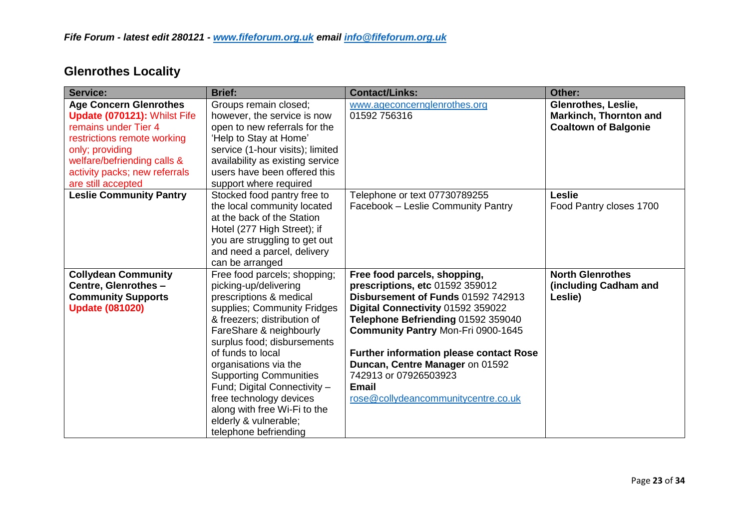| <b>Service:</b>                                                                                                                                                                                                               | <b>Brief:</b>                                                                                                                                                                                                                                                                                                                                                                                                                        | <b>Contact/Links:</b>                                                                                                                                                                                                                                                                                                                                                                | Other:                                                                              |
|-------------------------------------------------------------------------------------------------------------------------------------------------------------------------------------------------------------------------------|--------------------------------------------------------------------------------------------------------------------------------------------------------------------------------------------------------------------------------------------------------------------------------------------------------------------------------------------------------------------------------------------------------------------------------------|--------------------------------------------------------------------------------------------------------------------------------------------------------------------------------------------------------------------------------------------------------------------------------------------------------------------------------------------------------------------------------------|-------------------------------------------------------------------------------------|
| <b>Age Concern Glenrothes</b><br>Update (070121): Whilst Fife<br>remains under Tier 4<br>restrictions remote working<br>only; providing<br>welfare/befriending calls &<br>activity packs; new referrals<br>are still accepted | Groups remain closed;<br>however, the service is now<br>open to new referrals for the<br>'Help to Stay at Home'<br>service (1-hour visits); limited<br>availability as existing service<br>users have been offered this<br>support where required                                                                                                                                                                                    | www.ageconcernglenrothes.org<br>01592 756316                                                                                                                                                                                                                                                                                                                                         | Glenrothes, Leslie,<br><b>Markinch, Thornton and</b><br><b>Coaltown of Balgonie</b> |
| <b>Leslie Community Pantry</b>                                                                                                                                                                                                | Stocked food pantry free to<br>the local community located<br>at the back of the Station<br>Hotel (277 High Street); if<br>you are struggling to get out<br>and need a parcel, delivery<br>can be arranged                                                                                                                                                                                                                           | Telephone or text 07730789255<br>Facebook - Leslie Community Pantry                                                                                                                                                                                                                                                                                                                  | <b>Leslie</b><br>Food Pantry closes 1700                                            |
| <b>Collydean Community</b><br>Centre, Glenrothes -<br><b>Community Supports</b><br><b>Update (081020)</b>                                                                                                                     | Free food parcels; shopping;<br>picking-up/delivering<br>prescriptions & medical<br>supplies; Community Fridges<br>& freezers; distribution of<br>FareShare & neighbourly<br>surplus food; disbursements<br>of funds to local<br>organisations via the<br><b>Supporting Communities</b><br>Fund; Digital Connectivity -<br>free technology devices<br>along with free Wi-Fi to the<br>elderly & vulnerable;<br>telephone befriending | Free food parcels, shopping,<br>prescriptions, etc 01592 359012<br>Disbursement of Funds 01592 742913<br>Digital Connectivity 01592 359022<br>Telephone Befriending 01592 359040<br>Community Pantry Mon-Fri 0900-1645<br><b>Further information please contact Rose</b><br>Duncan, Centre Manager on 01592<br>742913 or 07926503923<br>Email<br>rose@collydeancommunitycentre.co.uk | <b>North Glenrothes</b><br>(including Cadham and<br>Leslie)                         |

# **Glenrothes Locality**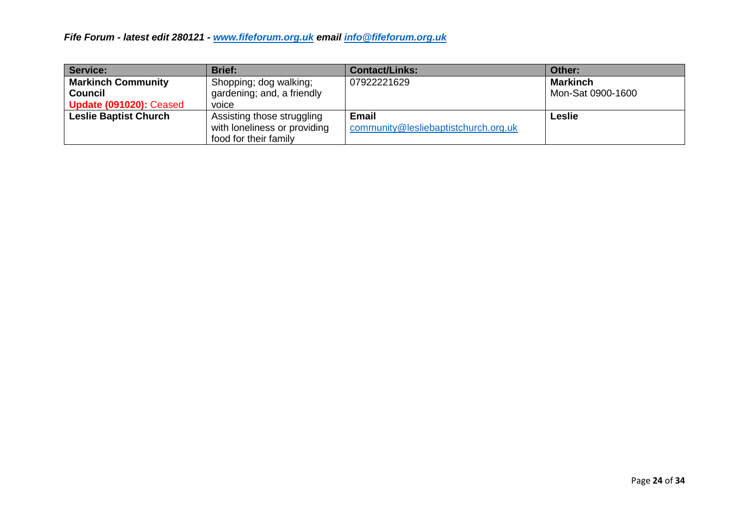| <b>Service:</b>                | <b>Brief:</b>                | <b>Contact/Links:</b>                | Other:            |
|--------------------------------|------------------------------|--------------------------------------|-------------------|
| <b>Markinch Community</b>      | Shopping; dog walking;       | 07922221629                          | <b>Markinch</b>   |
| <b>Council</b>                 | gardening; and, a friendly   |                                      | Mon-Sat 0900-1600 |
| <b>Update (091020): Ceased</b> | voice                        |                                      |                   |
| <b>Leslie Baptist Church</b>   | Assisting those struggling   | <b>Email</b>                         | <b>Leslie</b>     |
|                                | with loneliness or providing | community@lesliebaptistchurch.org.uk |                   |
|                                | food for their family        |                                      |                   |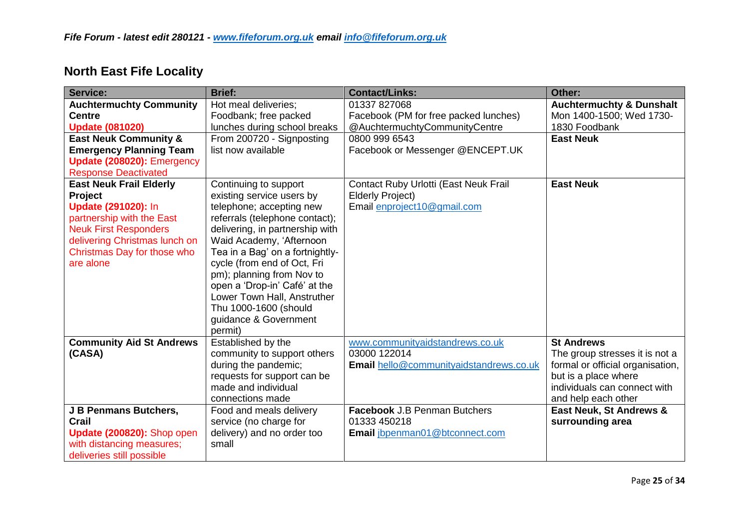|  |  | <b>North East Fife Locality</b> |
|--|--|---------------------------------|
|--|--|---------------------------------|

| Service:                         | <b>Brief:</b>                   | <b>Contact/Links:</b>                   | Other:                              |
|----------------------------------|---------------------------------|-----------------------------------------|-------------------------------------|
| <b>Auchtermuchty Community</b>   | Hot meal deliveries;            | 01337 827068                            | <b>Auchtermuchty &amp; Dunshalt</b> |
| <b>Centre</b>                    | Foodbank; free packed           | Facebook (PM for free packed lunches)   | Mon 1400-1500; Wed 1730-            |
| <b>Update (081020)</b>           | lunches during school breaks    | @AuchtermuchtyCommunityCentre           | 1830 Foodbank                       |
| <b>East Neuk Community &amp;</b> | From 200720 - Signposting       | 0800 999 6543                           | <b>East Neuk</b>                    |
| <b>Emergency Planning Team</b>   | list now available              | Facebook or Messenger @ENCEPT.UK        |                                     |
| Update (208020): Emergency       |                                 |                                         |                                     |
| <b>Response Deactivated</b>      |                                 |                                         |                                     |
| <b>East Neuk Frail Elderly</b>   | Continuing to support           | Contact Ruby Urlotti (East Neuk Frail   | <b>East Neuk</b>                    |
| Project                          | existing service users by       | <b>Elderly Project)</b>                 |                                     |
| <b>Update (291020): In</b>       | telephone; accepting new        | Email enproject10@gmail.com             |                                     |
| partnership with the East        | referrals (telephone contact);  |                                         |                                     |
| <b>Neuk First Responders</b>     | delivering, in partnership with |                                         |                                     |
| delivering Christmas lunch on    | Waid Academy, 'Afternoon        |                                         |                                     |
| Christmas Day for those who      | Tea in a Bag' on a fortnightly- |                                         |                                     |
| are alone                        | cycle (from end of Oct, Fri     |                                         |                                     |
|                                  | pm); planning from Nov to       |                                         |                                     |
|                                  | open a 'Drop-in' Café' at the   |                                         |                                     |
|                                  | Lower Town Hall, Anstruther     |                                         |                                     |
|                                  | Thu 1000-1600 (should           |                                         |                                     |
|                                  | guidance & Government           |                                         |                                     |
|                                  | permit)                         |                                         |                                     |
| <b>Community Aid St Andrews</b>  | Established by the              | www.communityaidstandrews.co.uk         | <b>St Andrews</b>                   |
| (CASA)                           | community to support others     | 03000 122014                            | The group stresses it is not a      |
|                                  | during the pandemic;            | Email hello@communityaidstandrews.co.uk | formal or official organisation,    |
|                                  | requests for support can be     |                                         | but is a place where                |
|                                  | made and individual             |                                         | individuals can connect with        |
|                                  | connections made                |                                         | and help each other                 |
| J B Penmans Butchers,            | Food and meals delivery         | <b>Facebook J.B Penman Butchers</b>     | <b>East Neuk, St Andrews &amp;</b>  |
| Crail                            | service (no charge for          | 01333 450218                            | surrounding area                    |
| Update (200820): Shop open       | delivery) and no order too      | Email jbpenman01@btconnect.com          |                                     |
| with distancing measures;        | small                           |                                         |                                     |
| deliveries still possible        |                                 |                                         |                                     |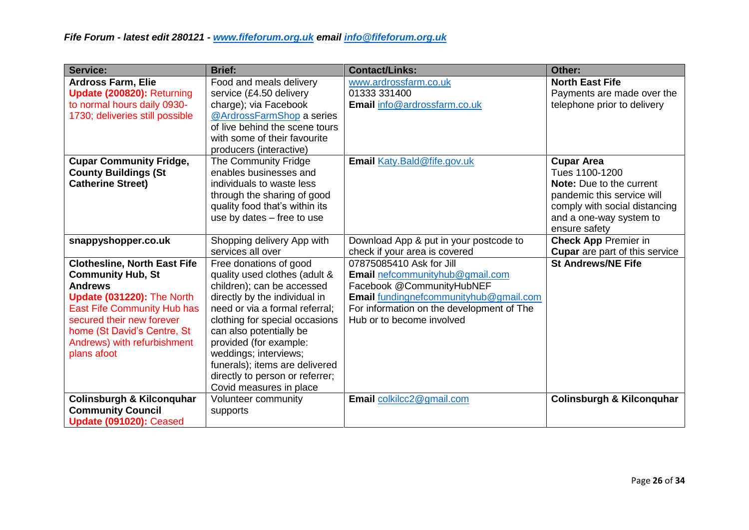| Service:                                                  | <b>Brief:</b>                                              | <b>Contact/Links:</b>                     | Other:                                                    |
|-----------------------------------------------------------|------------------------------------------------------------|-------------------------------------------|-----------------------------------------------------------|
| <b>Ardross Farm, Elie</b>                                 | Food and meals delivery                                    | www.ardrossfarm.co.uk<br>01333 331400     | <b>North East Fife</b>                                    |
| Update (200820): Returning<br>to normal hours daily 0930- | service (£4.50 delivery<br>charge); via Facebook           | Email info@ardrossfarm.co.uk              | Payments are made over the<br>telephone prior to delivery |
| 1730; deliveries still possible                           | @ArdrossFarmShop a series                                  |                                           |                                                           |
|                                                           | of live behind the scene tours                             |                                           |                                                           |
|                                                           | with some of their favourite                               |                                           |                                                           |
|                                                           | producers (interactive)                                    |                                           |                                                           |
| <b>Cupar Community Fridge,</b>                            | The Community Fridge                                       | Email Katy.Bald@fife.gov.uk               | <b>Cupar Area</b>                                         |
| <b>County Buildings (St</b>                               | enables businesses and                                     |                                           | Tues 1100-1200                                            |
| <b>Catherine Street)</b>                                  | individuals to waste less                                  |                                           | <b>Note:</b> Due to the current                           |
|                                                           | through the sharing of good                                |                                           | pandemic this service will                                |
|                                                           | quality food that's within its                             |                                           | comply with social distancing                             |
|                                                           | use by dates - free to use                                 |                                           | and a one-way system to                                   |
|                                                           |                                                            |                                           | ensure safety                                             |
| snappyshopper.co.uk                                       | Shopping delivery App with                                 | Download App & put in your postcode to    | <b>Check App Premier in</b>                               |
|                                                           | services all over                                          | check if your area is covered             | <b>Cupar</b> are part of this service                     |
| <b>Clothesline, North East Fife</b>                       | Free donations of good                                     | 07875085410 Ask for Jill                  | <b>St Andrews/NE Fife</b>                                 |
| <b>Community Hub, St</b>                                  | quality used clothes (adult &                              | Email nefcommunityhub@gmail.com           |                                                           |
| <b>Andrews</b>                                            | children); can be accessed                                 | Facebook @CommunityHubNEF                 |                                                           |
| Update (031220): The North                                | directly by the individual in                              | Email fundingnefcommunityhub@gmail.com    |                                                           |
| <b>East Fife Community Hub has</b>                        | need or via a formal referral;                             | For information on the development of The |                                                           |
| secured their new forever                                 | clothing for special occasions                             | Hub or to become involved                 |                                                           |
| home (St David's Centre, St                               | can also potentially be                                    |                                           |                                                           |
| Andrews) with refurbishment                               | provided (for example:                                     |                                           |                                                           |
| plans afoot                                               | weddings; interviews;                                      |                                           |                                                           |
|                                                           | funerals); items are delivered                             |                                           |                                                           |
|                                                           | directly to person or referrer;<br>Covid measures in place |                                           |                                                           |
| <b>Colinsburgh &amp; Kilconquhar</b>                      | Volunteer community                                        | Email colkilcc2@gmail.com                 | <b>Colinsburgh &amp; Kilconquhar</b>                      |
| <b>Community Council</b>                                  | supports                                                   |                                           |                                                           |
| Update (091020): Ceased                                   |                                                            |                                           |                                                           |
|                                                           |                                                            |                                           |                                                           |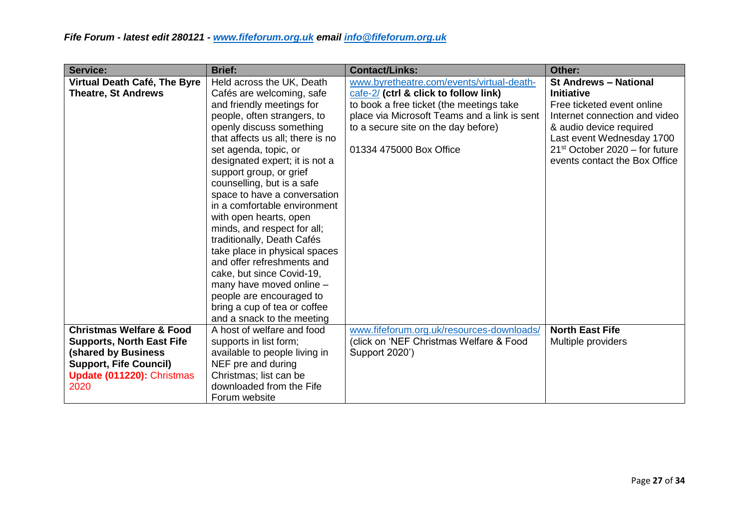| Service:                            | <b>Brief:</b>                    | <b>Contact/Links:</b>                                               | Other:                           |
|-------------------------------------|----------------------------------|---------------------------------------------------------------------|----------------------------------|
| Virtual Death Café, The Byre        | Held across the UK, Death        | www.byretheatre.com/events/virtual-death-                           | <b>St Andrews - National</b>     |
| <b>Theatre, St Andrews</b>          | Cafés are welcoming, safe        | $\frac{\text{cafe-2}}{\text{cate-2}}$ (ctrl & click to follow link) | <b>Initiative</b>                |
|                                     | and friendly meetings for        | to book a free ticket (the meetings take                            | Free ticketed event online       |
|                                     | people, often strangers, to      | place via Microsoft Teams and a link is sent                        | Internet connection and video    |
|                                     | openly discuss something         | to a secure site on the day before)                                 | & audio device required          |
|                                     | that affects us all; there is no |                                                                     | Last event Wednesday 1700        |
|                                     | set agenda, topic, or            | 01334 475000 Box Office                                             | $21st$ October 2020 – for future |
|                                     | designated expert; it is not a   |                                                                     | events contact the Box Office    |
|                                     | support group, or grief          |                                                                     |                                  |
|                                     | counselling, but is a safe       |                                                                     |                                  |
|                                     | space to have a conversation     |                                                                     |                                  |
|                                     | in a comfortable environment     |                                                                     |                                  |
|                                     | with open hearts, open           |                                                                     |                                  |
|                                     | minds, and respect for all;      |                                                                     |                                  |
|                                     | traditionally, Death Cafés       |                                                                     |                                  |
|                                     | take place in physical spaces    |                                                                     |                                  |
|                                     | and offer refreshments and       |                                                                     |                                  |
|                                     | cake, but since Covid-19,        |                                                                     |                                  |
|                                     | many have moved online -         |                                                                     |                                  |
|                                     | people are encouraged to         |                                                                     |                                  |
|                                     | bring a cup of tea or coffee     |                                                                     |                                  |
|                                     | and a snack to the meeting       |                                                                     |                                  |
| <b>Christmas Welfare &amp; Food</b> | A host of welfare and food       | www.fifeforum.org.uk/resources-downloads/                           | <b>North East Fife</b>           |
| <b>Supports, North East Fife</b>    | supports in list form;           | (click on 'NEF Christmas Welfare & Food                             | Multiple providers               |
| <b>(shared by Business</b>          | available to people living in    | Support 2020')                                                      |                                  |
| <b>Support, Fife Council)</b>       | NEF pre and during               |                                                                     |                                  |
| Update (011220): Christmas          | Christmas; list can be           |                                                                     |                                  |
| 2020                                | downloaded from the Fife         |                                                                     |                                  |
|                                     | Forum website                    |                                                                     |                                  |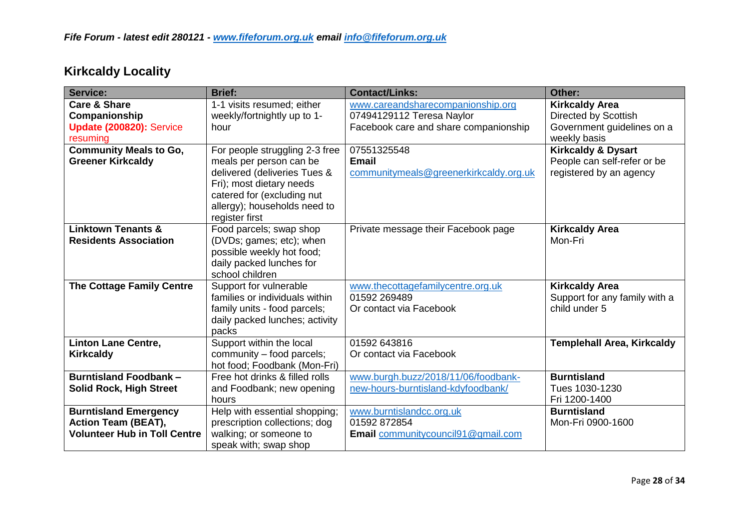| <b>Service:</b>                                                                                   | <b>Brief:</b>                                                                                                                                                                                         | <b>Contact/Links:</b>                                                                                   | Other:                                                                                      |
|---------------------------------------------------------------------------------------------------|-------------------------------------------------------------------------------------------------------------------------------------------------------------------------------------------------------|---------------------------------------------------------------------------------------------------------|---------------------------------------------------------------------------------------------|
| <b>Care &amp; Share</b><br>Companionship<br>Update (200820): Service<br>resuming                  | 1-1 visits resumed; either<br>weekly/fortnightly up to 1-<br>hour                                                                                                                                     | www.careandsharecompanionship.org<br>07494129112 Teresa Naylor<br>Facebook care and share companionship | <b>Kirkcaldy Area</b><br>Directed by Scottish<br>Government guidelines on a<br>weekly basis |
| <b>Community Meals to Go,</b><br><b>Greener Kirkcaldy</b>                                         | For people struggling 2-3 free<br>meals per person can be<br>delivered (deliveries Tues &<br>Fri); most dietary needs<br>catered for (excluding nut<br>allergy); households need to<br>register first | 07551325548<br><b>Email</b><br>communitymeals@greenerkirkcaldy.org.uk                                   | <b>Kirkcaldy &amp; Dysart</b><br>People can self-refer or be<br>registered by an agency     |
| <b>Linktown Tenants &amp;</b><br><b>Residents Association</b>                                     | Food parcels; swap shop<br>(DVDs; games; etc); when<br>possible weekly hot food;<br>daily packed lunches for<br>school children                                                                       | Private message their Facebook page                                                                     | <b>Kirkcaldy Area</b><br>Mon-Fri                                                            |
| <b>The Cottage Family Centre</b>                                                                  | Support for vulnerable<br>families or individuals within<br>family units - food parcels;<br>daily packed lunches; activity<br>packs                                                                   | www.thecottagefamilycentre.org.uk<br>01592 269489<br>Or contact via Facebook                            | <b>Kirkcaldy Area</b><br>Support for any family with a<br>child under 5                     |
| <b>Linton Lane Centre,</b><br><b>Kirkcaldy</b>                                                    | Support within the local<br>community - food parcels;<br>hot food; Foodbank (Mon-Fri)                                                                                                                 | 01592 643816<br>Or contact via Facebook                                                                 | <b>Templehall Area, Kirkcaldy</b>                                                           |
| <b>Burntisland Foodbank-</b><br><b>Solid Rock, High Street</b>                                    | Free hot drinks & filled rolls<br>and Foodbank; new opening<br>hours                                                                                                                                  | www.burgh.buzz/2018/11/06/foodbank-<br>new-hours-burntisland-kdyfoodbank/                               | <b>Burntisland</b><br>Tues 1030-1230<br>Fri 1200-1400                                       |
| <b>Burntisland Emergency</b><br><b>Action Team (BEAT),</b><br><b>Volunteer Hub in Toll Centre</b> | Help with essential shopping;<br>prescription collections; dog<br>walking; or someone to<br>speak with; swap shop                                                                                     | www.burntislandcc.org.uk<br>01592 872854<br>Email communitycouncil91@gmail.com                          | <b>Burntisland</b><br>Mon-Fri 0900-1600                                                     |

# **Kirkcaldy Locality**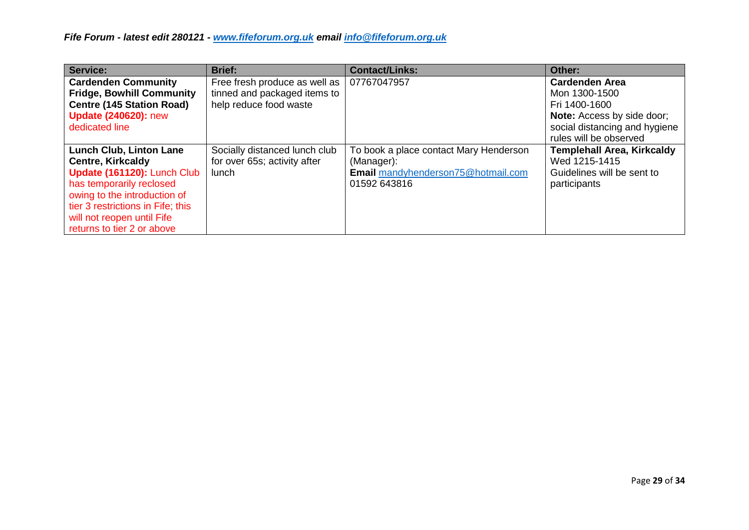| Service:                          | <b>Brief:</b>                 | <b>Contact/Links:</b>                  | Other:                            |
|-----------------------------------|-------------------------------|----------------------------------------|-----------------------------------|
| <b>Cardenden Community</b>        | Free fresh produce as well as | 07767047957                            | <b>Cardenden Area</b>             |
| <b>Fridge, Bowhill Community</b>  | tinned and packaged items to  |                                        | Mon 1300-1500                     |
| <b>Centre (145 Station Road)</b>  | help reduce food waste        |                                        | Fri 1400-1600                     |
| <b>Update (240620): new</b>       |                               |                                        | <b>Note:</b> Access by side door; |
| dedicated line                    |                               |                                        | social distancing and hygiene     |
|                                   |                               |                                        | rules will be observed            |
| <b>Lunch Club, Linton Lane</b>    | Socially distanced lunch club | To book a place contact Mary Henderson | <b>Templehall Area, Kirkcaldy</b> |
| <b>Centre, Kirkcaldy</b>          | for over 65s; activity after  | (Manager):                             | Wed 1215-1415                     |
| Update (161120): Lunch Club       | <b>lunch</b>                  | Email mandyhenderson75@hotmail.com     | Guidelines will be sent to        |
| has temporarily reclosed          |                               | 01592 643816                           | participants                      |
| owing to the introduction of      |                               |                                        |                                   |
| tier 3 restrictions in Fife; this |                               |                                        |                                   |
| will not reopen until Fife        |                               |                                        |                                   |
| returns to tier 2 or above        |                               |                                        |                                   |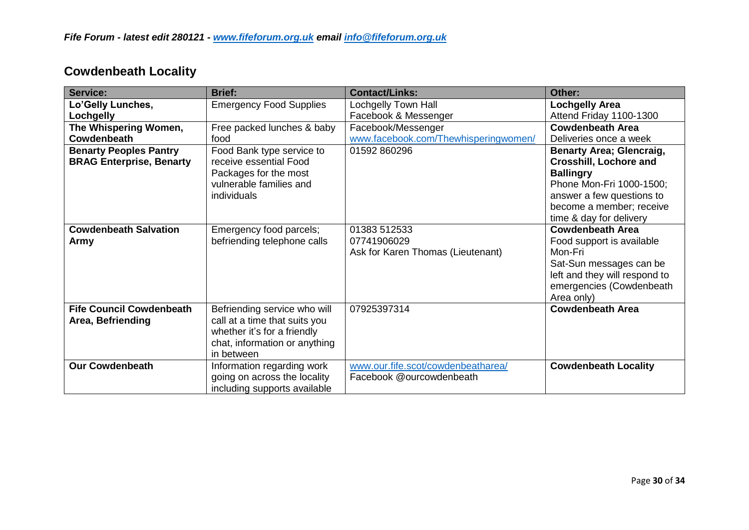| <b>Cowdenbeath Locality</b> |  |
|-----------------------------|--|
|-----------------------------|--|

| <b>Service:</b>                 | <b>Brief:</b>                  | <b>Contact/Links:</b>                | Other:                          |
|---------------------------------|--------------------------------|--------------------------------------|---------------------------------|
| Lo'Gelly Lunches,               | <b>Emergency Food Supplies</b> | <b>Lochgelly Town Hall</b>           | <b>Lochgelly Area</b>           |
| Lochgelly                       |                                | Facebook & Messenger                 | Attend Friday 1100-1300         |
| The Whispering Women,           | Free packed lunches & baby     | Facebook/Messenger                   | <b>Cowdenbeath Area</b>         |
| Cowdenbeath                     | food                           | www.facebook.com/Thewhisperingwomen/ | Deliveries once a week          |
| <b>Benarty Peoples Pantry</b>   | Food Bank type service to      | 01592 860296                         | <b>Benarty Area; Glencraig,</b> |
| <b>BRAG Enterprise, Benarty</b> | receive essential Food         |                                      | <b>Crosshill, Lochore and</b>   |
|                                 | Packages for the most          |                                      | <b>Ballingry</b>                |
|                                 | vulnerable families and        |                                      | Phone Mon-Fri 1000-1500;        |
|                                 | individuals                    |                                      | answer a few questions to       |
|                                 |                                |                                      | become a member; receive        |
|                                 |                                |                                      | time & day for delivery         |
| <b>Cowdenbeath Salvation</b>    | Emergency food parcels;        | 01383 512533                         | <b>Cowdenbeath Area</b>         |
| Army                            | befriending telephone calls    | 07741906029                          | Food support is available       |
|                                 |                                | Ask for Karen Thomas (Lieutenant)    | Mon-Fri                         |
|                                 |                                |                                      | Sat-Sun messages can be         |
|                                 |                                |                                      | left and they will respond to   |
|                                 |                                |                                      | emergencies (Cowdenbeath        |
|                                 |                                |                                      | Area only)                      |
| <b>Fife Council Cowdenbeath</b> | Befriending service who will   | 07925397314                          | <b>Cowdenbeath Area</b>         |
| Area, Befriending               | call at a time that suits you  |                                      |                                 |
|                                 | whether it's for a friendly    |                                      |                                 |
|                                 | chat, information or anything  |                                      |                                 |
|                                 | in between                     |                                      |                                 |
| <b>Our Cowdenbeath</b>          | Information regarding work     | www.our.fife.scot/cowdenbeatharea/   | <b>Cowdenbeath Locality</b>     |
|                                 | going on across the locality   | Facebook @ourcowdenbeath             |                                 |
|                                 | including supports available   |                                      |                                 |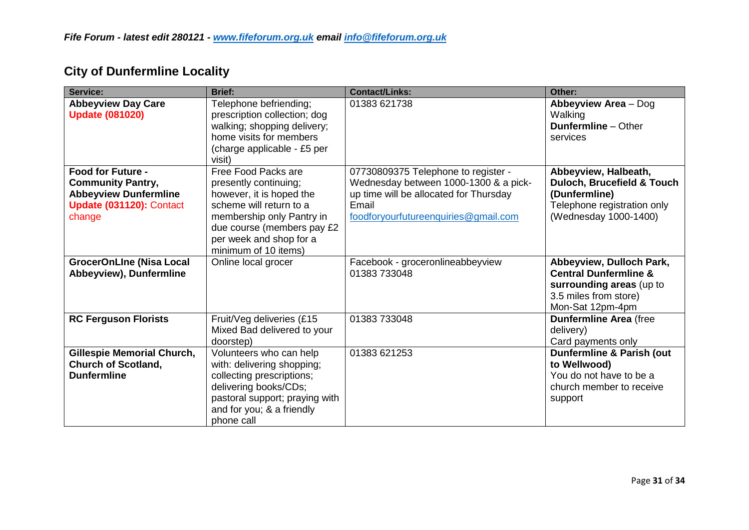| Service:                                                                                                                   | <b>Brief:</b>                                                                                                                                                                                                     | <b>Contact/Links:</b>                                                                                                                                                   | Other:                                                                                                                                 |
|----------------------------------------------------------------------------------------------------------------------------|-------------------------------------------------------------------------------------------------------------------------------------------------------------------------------------------------------------------|-------------------------------------------------------------------------------------------------------------------------------------------------------------------------|----------------------------------------------------------------------------------------------------------------------------------------|
| <b>Abbeyview Day Care</b><br><b>Update (081020)</b>                                                                        | Telephone befriending;<br>prescription collection; dog<br>walking; shopping delivery;<br>home visits for members<br>(charge applicable - £5 per<br>visit)                                                         | 01383 621738                                                                                                                                                            | Abbeyview Area - Dog<br>Walking<br><b>Dunfermline</b> – Other<br>services                                                              |
| <b>Food for Future -</b><br><b>Community Pantry,</b><br><b>Abbeyview Dunfermline</b><br>Update (031120): Contact<br>change | Free Food Packs are<br>presently continuing;<br>however, it is hoped the<br>scheme will return to a<br>membership only Pantry in<br>due course (members pay £2<br>per week and shop for a<br>minimum of 10 items) | 07730809375 Telephone to register -<br>Wednesday between 1000-1300 & a pick-<br>up time will be allocated for Thursday<br>Email<br>foodforyourfutureenquiries@gmail.com | Abbeyview, Halbeath,<br><b>Duloch, Brucefield &amp; Touch</b><br>(Dunfermline)<br>Telephone registration only<br>(Wednesday 1000-1400) |
| <b>GrocerOnLIne (Nisa Local</b><br>Abbeyview), Dunfermline                                                                 | Online local grocer                                                                                                                                                                                               | Facebook - groceronlineabbeyview<br>01383 733048                                                                                                                        | Abbeyview, Dulloch Park,<br><b>Central Dunfermline &amp;</b><br>surrounding areas (up to<br>3.5 miles from store)<br>Mon-Sat 12pm-4pm  |
| <b>RC Ferguson Florists</b>                                                                                                | Fruit/Veg deliveries (£15<br>Mixed Bad delivered to your<br>doorstep)                                                                                                                                             | 01383 733048                                                                                                                                                            | <b>Dunfermline Area (free</b><br>delivery)<br>Card payments only                                                                       |
| <b>Gillespie Memorial Church,</b><br><b>Church of Scotland,</b><br><b>Dunfermline</b>                                      | Volunteers who can help<br>with: delivering shopping;<br>collecting prescriptions;<br>delivering books/CDs;<br>pastoral support; praying with<br>and for you; & a friendly<br>phone call                          | 01383 621253                                                                                                                                                            | <b>Dunfermline &amp; Parish (out</b><br>to Wellwood)<br>You do not have to be a<br>church member to receive<br>support                 |

# **City of Dunfermline Locality**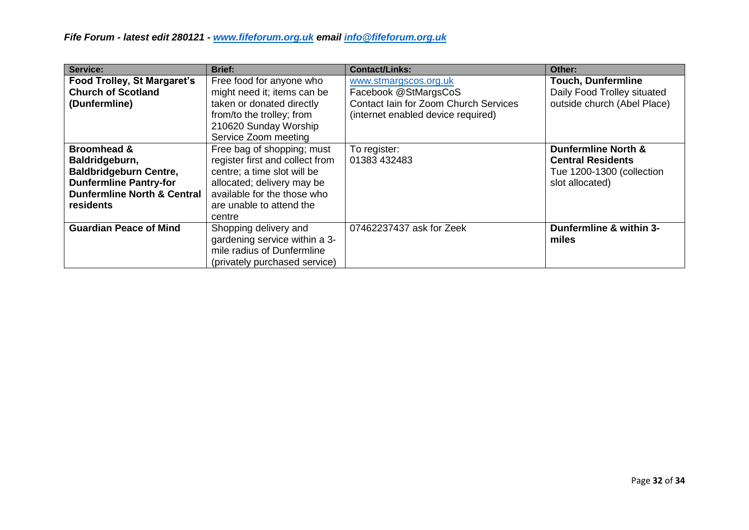| Service:                                                                                                                                                          | <b>Brief:</b>                                                                                                                                                                                   | <b>Contact/Links:</b>                                                                                                        | Other:                                                                                                     |
|-------------------------------------------------------------------------------------------------------------------------------------------------------------------|-------------------------------------------------------------------------------------------------------------------------------------------------------------------------------------------------|------------------------------------------------------------------------------------------------------------------------------|------------------------------------------------------------------------------------------------------------|
| <b>Food Trolley, St Margaret's</b><br><b>Church of Scotland</b><br>(Dunfermline)                                                                                  | Free food for anyone who<br>might need it; items can be<br>taken or donated directly<br>from/to the trolley; from<br>210620 Sunday Worship<br>Service Zoom meeting                              | www.stmargscos.org.uk<br>Facebook @StMargsCoS<br>Contact Iain for Zoom Church Services<br>(internet enabled device required) | <b>Touch, Dunfermline</b><br>Daily Food Trolley situated<br>outside church (Abel Place)                    |
| <b>Broomhead &amp;</b><br>Baldridgeburn,<br><b>Baldbridgeburn Centre,</b><br><b>Dunfermline Pantry-for</b><br><b>Dunfermline North &amp; Central</b><br>residents | Free bag of shopping; must<br>register first and collect from<br>centre; a time slot will be<br>allocated; delivery may be<br>available for the those who<br>are unable to attend the<br>centre | To register:<br>01383 432483                                                                                                 | <b>Dunfermline North &amp;</b><br><b>Central Residents</b><br>Tue 1200-1300 (collection<br>slot allocated) |
| <b>Guardian Peace of Mind</b>                                                                                                                                     | Shopping delivery and<br>gardening service within a 3-<br>mile radius of Dunfermline<br>(privately purchased service)                                                                           | 07462237437 ask for Zeek                                                                                                     | Dunfermline & within 3-<br>miles                                                                           |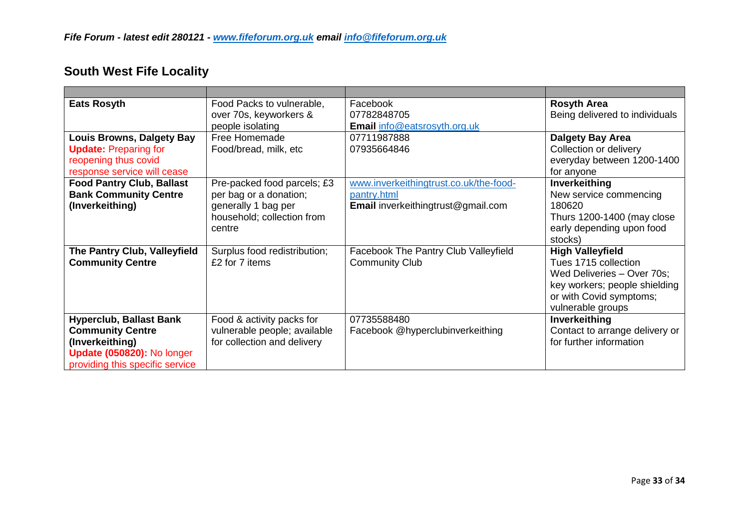## **South West Fife Locality**

| <b>Eats Rosyth</b>                                                                                                                            | Food Packs to vulnerable,<br>over 70s, keyworkers &<br>people isolating                                              | Facebook<br>07782848705<br><b>Email info@eatsrosyth.org.uk</b>                              | <b>Rosyth Area</b><br>Being delivered to individuals                                                                                                           |
|-----------------------------------------------------------------------------------------------------------------------------------------------|----------------------------------------------------------------------------------------------------------------------|---------------------------------------------------------------------------------------------|----------------------------------------------------------------------------------------------------------------------------------------------------------------|
| <b>Louis Browns, Dalgety Bay</b><br><b>Update: Preparing for</b><br>reopening thus covid<br>response service will cease                       | Free Homemade<br>Food/bread, milk, etc                                                                               | 07711987888<br>07935664846                                                                  | Dalgety Bay Area<br>Collection or delivery<br>everyday between 1200-1400<br>for anyone                                                                         |
| <b>Food Pantry Club, Ballast</b><br><b>Bank Community Centre</b><br>(Inverkeithing)                                                           | Pre-packed food parcels; £3<br>per bag or a donation;<br>generally 1 bag per<br>household; collection from<br>centre | www.inverkeithingtrust.co.uk/the-food-<br>pantry.html<br>Email inverkeithingtrust@gmail.com | Inverkeithing<br>New service commencing<br>180620<br>Thurs 1200-1400 (may close<br>early depending upon food<br>stocks)                                        |
| The Pantry Club, Valleyfield<br><b>Community Centre</b>                                                                                       | Surplus food redistribution;<br>£2 for 7 items                                                                       | Facebook The Pantry Club Valleyfield<br><b>Community Club</b>                               | <b>High Valleyfield</b><br>Tues 1715 collection<br>Wed Deliveries - Over 70s;<br>key workers; people shielding<br>or with Covid symptoms;<br>vulnerable groups |
| <b>Hyperclub, Ballast Bank</b><br><b>Community Centre</b><br>(Inverkeithing)<br>Update (050820): No longer<br>providing this specific service | Food & activity packs for<br>vulnerable people; available<br>for collection and delivery                             | 07735588480<br>Facebook @hyperclubinverkeithing                                             | Inverkeithing<br>Contact to arrange delivery or<br>for further information                                                                                     |